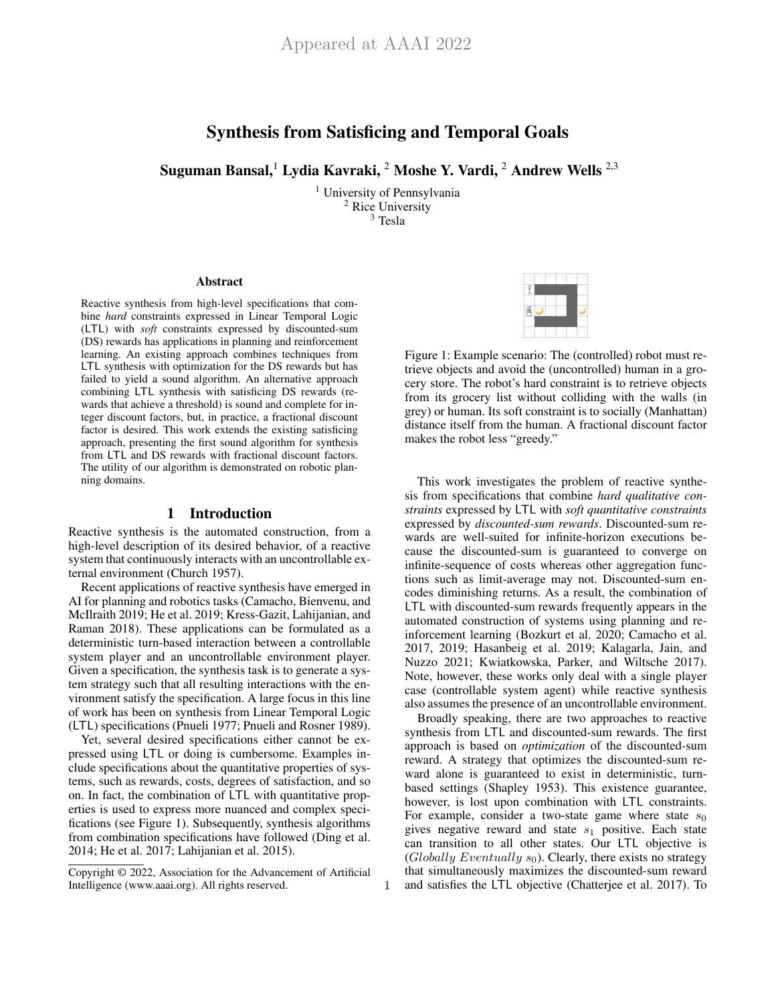# Synthesis from Satisficing and Temporal Goals

Suguman Bansal,<sup>1</sup> Lydia Kavraki, <sup>2</sup> Moshe Y. Vardi, <sup>2</sup> Andrew Wells <sup>2,3</sup>

<sup>1</sup> University of Pennsylvania <sup>2</sup> Rice University  $3$  Tesla

1

#### Abstract

Reactive synthesis from high-level specifications that combine *hard* constraints expressed in Linear Temporal Logic (LTL) with *soft* constraints expressed by discounted-sum (DS) rewards has applications in planning and reinforcement learning. An existing approach combines techniques from LTL synthesis with optimization for the DS rewards but has failed to yield a sound algorithm. An alternative approach combining LTL synthesis with satisficing DS rewards (rewards that achieve a threshold) is sound and complete for integer discount factors, but, in practice, a fractional discount factor is desired. This work extends the existing satisficing approach, presenting the first sound algorithm for synthesis from LTL and DS rewards with fractional discount factors. The utility of our algorithm is demonstrated on robotic planning domains.

### 1 Introduction

Reactive synthesis is the automated construction, from a high-level description of its desired behavior, of a reactive system that continuously interacts with an uncontrollable external environment (Church 1957).

Recent applications of reactive synthesis have emerged in AI for planning and robotics tasks (Camacho, Bienvenu, and McIlraith 2019; He et al. 2019; Kress-Gazit, Lahijanian, and Raman 2018). These applications can be formulated as a deterministic turn-based interaction between a controllable system player and an uncontrollable environment player. Given a specification, the synthesis task is to generate a system strategy such that all resulting interactions with the environment satisfy the specification. A large focus in this line of work has been on synthesis from Linear Temporal Logic (LTL) specifications (Pnueli 1977; Pnueli and Rosner 1989).

Yet, several desired specifications either cannot be expressed using LTL or doing is cumbersome. Examples include specifications about the quantitative properties of systems, such as rewards, costs, degrees of satisfaction, and so on. In fact, the combination of LTL with quantitative properties is used to express more nuanced and complex specifications (see Figure 1). Subsequently, synthesis algorithms from combination specifications have followed (Ding et al. 2014; He et al. 2017; Lahijanian et al. 2015).



Figure 1: Example scenario: The (controlled) robot must retrieve objects and avoid the (uncontrolled) human in a grocery store. The robot's hard constraint is to retrieve objects from its grocery list without colliding with the walls (in grey) or human. Its soft constraint is to socially (Manhattan) distance itself from the human. A fractional discount factor makes the robot less "greedy."

This work investigates the problem of reactive synthesis from specifications that combine *hard qualitative constraints* expressed by LTL with *soft quantitative constraints* expressed by *discounted-sum rewards*. Discounted-sum rewards are well-suited for infinite-horizon executions because the discounted-sum is guaranteed to converge on infinite-sequence of costs whereas other aggregation functions such as limit-average may not. Discounted-sum encodes diminishing returns. As a result, the combination of LTL with discounted-sum rewards frequently appears in the automated construction of systems using planning and reinforcement learning (Bozkurt et al. 2020; Camacho et al. 2017, 2019; Hasanbeig et al. 2019; Kalagarla, Jain, and Nuzzo 2021; Kwiatkowska, Parker, and Wiltsche 2017). Note, however, these works only deal with a single player case (controllable system agent) while reactive synthesis also assumes the presence of an uncontrollable environment.

Broadly speaking, there are two approaches to reactive synthesis from LTL and discounted-sum rewards. The first approach is based on *optimization* of the discounted-sum reward. A strategy that optimizes the discounted-sum reward alone is guaranteed to exist in deterministic, turnbased settings (Shapley 1953). This existence guarantee, however, is lost upon combination with LTL constraints. For example, consider a two-state game where state  $s_0$ gives negative reward and state  $s_1$  positive. Each state can transition to all other states. Our LTL objective is (Globally Eventually  $s_0$ ). Clearly, there exists no strategy that simultaneously maximizes the discounted-sum reward and satisfies the LTL objective (Chatterjee et al. 2017). To

Copyright © 2022, Association for the Advancement of Artificial Intelligence (www.aaai.org). All rights reserved.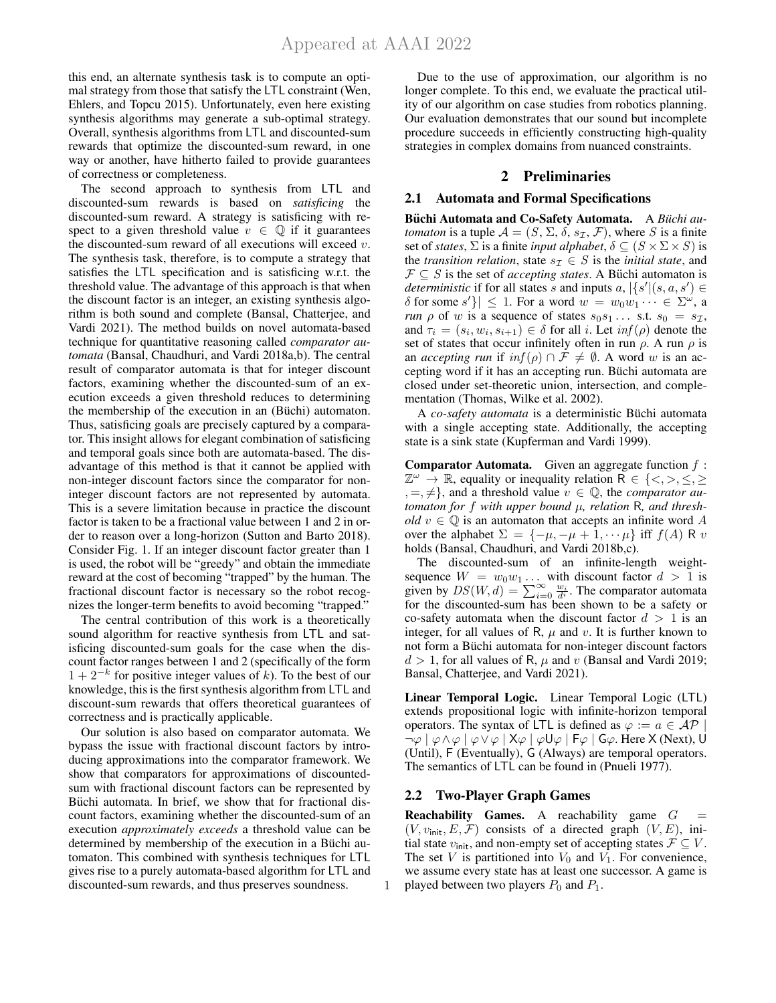this end, an alternate synthesis task is to compute an optimal strategy from those that satisfy the LTL constraint (Wen, Ehlers, and Topcu 2015). Unfortunately, even here existing synthesis algorithms may generate a sub-optimal strategy. Overall, synthesis algorithms from LTL and discounted-sum rewards that optimize the discounted-sum reward, in one way or another, have hitherto failed to provide guarantees of correctness or completeness.

The second approach to synthesis from LTL and discounted-sum rewards is based on *satisficing* the discounted-sum reward. A strategy is satisficing with respect to a given threshold value  $v \in \mathbb{Q}$  if it guarantees the discounted-sum reward of all executions will exceed  $v$ . The synthesis task, therefore, is to compute a strategy that satisfies the LTL specification and is satisficing w.r.t. the threshold value. The advantage of this approach is that when the discount factor is an integer, an existing synthesis algorithm is both sound and complete (Bansal, Chatterjee, and Vardi 2021). The method builds on novel automata-based technique for quantitative reasoning called *comparator automata* (Bansal, Chaudhuri, and Vardi 2018a,b). The central result of comparator automata is that for integer discount factors, examining whether the discounted-sum of an execution exceeds a given threshold reduces to determining the membership of the execution in an (Büchi) automaton. Thus, satisficing goals are precisely captured by a comparator. This insight allows for elegant combination of satisficing and temporal goals since both are automata-based. The disadvantage of this method is that it cannot be applied with non-integer discount factors since the comparator for noninteger discount factors are not represented by automata. This is a severe limitation because in practice the discount factor is taken to be a fractional value between 1 and 2 in order to reason over a long-horizon (Sutton and Barto 2018). Consider Fig. 1. If an integer discount factor greater than 1 is used, the robot will be "greedy" and obtain the immediate reward at the cost of becoming "trapped" by the human. The fractional discount factor is necessary so the robot recognizes the longer-term benefits to avoid becoming "trapped."

The central contribution of this work is a theoretically sound algorithm for reactive synthesis from LTL and satisficing discounted-sum goals for the case when the discount factor ranges between 1 and 2 (specifically of the form  $1 + 2^{-k}$  for positive integer values of k). To the best of our knowledge, this is the first synthesis algorithm from LTL and discount-sum rewards that offers theoretical guarantees of correctness and is practically applicable.

Our solution is also based on comparator automata. We bypass the issue with fractional discount factors by introducing approximations into the comparator framework. We show that comparators for approximations of discountedsum with fractional discount factors can be represented by Büchi automata. In brief, we show that for fractional discount factors, examining whether the discounted-sum of an execution *approximately exceeds* a threshold value can be determined by membership of the execution in a Büchi automaton. This combined with synthesis techniques for LTL gives rise to a purely automata-based algorithm for LTL and discounted-sum rewards, and thus preserves soundness.

Due to the use of approximation, our algorithm is no longer complete. To this end, we evaluate the practical utility of our algorithm on case studies from robotics planning. Our evaluation demonstrates that our sound but incomplete procedure succeeds in efficiently constructing high-quality strategies in complex domains from nuanced constraints.

## 2 Preliminaries

### 2.1 Automata and Formal Specifications

Büchi Automata and Co-Safety Automata. A Büchi au*tomaton* is a tuple  $\mathcal{A} = (S, \Sigma, \delta, s_{\mathcal{I}}, \mathcal{F})$ , where S is a finite set of *states*,  $\Sigma$  is a finite *input alphabet*,  $\delta \subseteq (S \times \Sigma \times S)$  is the *transition relation*, state  $s_{\mathcal{I}} \in S$  is the *initial state*, and  $\mathcal{F} \subseteq S$  is the set of *accepting states*. A Büchi automaton is *deterministic* if for all states s and inputs  $a$ ,  $|\{s'(s,a,s')\}$  $\delta$  for some  $s'$ }  $\leq 1$ . For a word  $w = w_0w_1 \cdots \in \Sigma^{\omega}$ , a *run*  $\rho$  of w is a sequence of states  $s_0s_1 \ldots$  s.t.  $s_0 = s_{\mathcal{I}}$ , and  $\tau_i = (s_i, w_i, s_{i+1}) \in \delta$  for all *i*. Let  $\inf(\rho)$  denote the set of states that occur infinitely often in run  $\rho$ . A run  $\rho$  is an *accepting run* if  $inf(\rho) \cap \mathcal{F} \neq \emptyset$ . A word w is an accepting word if it has an accepting run. Büchi automata are closed under set-theoretic union, intersection, and complementation (Thomas, Wilke et al. 2002).

A *co-safety automata* is a deterministic Büchi automata with a single accepting state. Additionally, the accepting state is a sink state (Kupferman and Vardi 1999).

**Comparator Automata.** Given an aggregate function  $f$ :  $\mathbb{Z}^{\omega} \to \mathbb{R}$ , equality or inequality relation  $\overline{\mathsf{R}} \in \{<,>,\leq,\leq\}$  $, =, \neq$ }, and a threshold value  $v \in \mathbb{Q}$ , the *comparator automaton for* f *with upper bound* µ*, relation* R*, and threshold*  $v \in \mathbb{Q}$  is an automaton that accepts an infinite word A over the alphabet  $\Sigma = \{-\mu, -\mu + 1, \dots \mu\}$  iff  $f(A) \, R \, v$ holds (Bansal, Chaudhuri, and Vardi 2018b,c).

The discounted-sum of an infinite-length weightsequence  $W = w_0w_1 \dots$  with discount factor  $d > 1$  is given by  $DS(W, d) = \sum_{i=0}^{\infty} \frac{w_i}{d^i}$ . The comparator automata for the discounted-sum has been shown to be a safety or co-safety automata when the discount factor  $d > 1$  is an integer, for all values of R,  $\mu$  and  $v$ . It is further known to not form a Büchi automata for non-integer discount factors  $d > 1$ , for all values of R,  $\mu$  and v (Bansal and Vardi 2019; Bansal, Chatterjee, and Vardi 2021).

Linear Temporal Logic. Linear Temporal Logic (LTL) extends propositional logic with infinite-horizon temporal operators. The syntax of LTL is defined as  $\varphi := a \in \overline{AP}$  $\neg \varphi \mid \varphi \wedge \varphi \mid \varphi \vee \varphi \mid X\varphi \mid \varphi U\varphi \mid F\varphi \mid G\varphi$ . Here X (Next), U (Until), F (Eventually), G (Always) are temporal operators. The semantics of LTL can be found in (Pnueli 1977).

# 2.2 Two-Player Graph Games

1

**Reachability Games.** A reachability game  $G =$  $(V, v_{\text{init}}, E, \mathcal{F})$  consists of a directed graph  $(V, E)$ , initial state  $v_{\text{init}}$ , and non-empty set of accepting states  $\mathcal{F} \subseteq V$ . The set V is partitioned into  $V_0$  and  $V_1$ . For convenience, we assume every state has at least one successor. A game is played between two players  $P_0$  and  $P_1$ .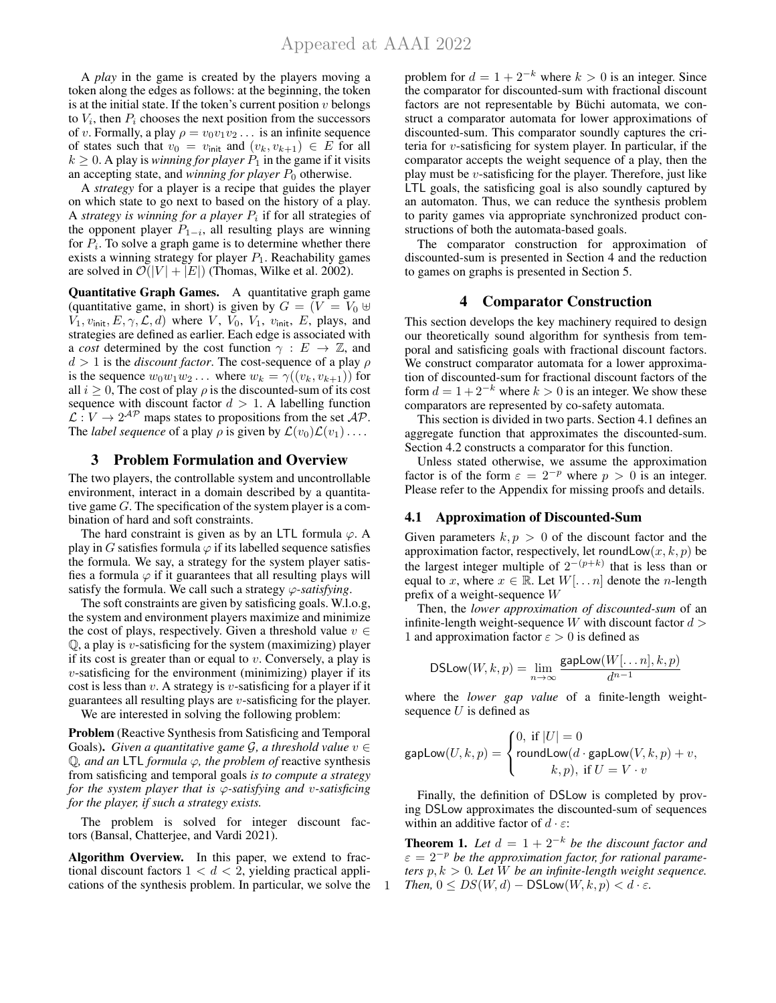A *play* in the game is created by the players moving a token along the edges as follows: at the beginning, the token is at the initial state. If the token's current position  $v$  belongs to  $V_i$ , then  $P_i$  chooses the next position from the successors of v. Formally, a play  $\rho = v_0v_1v_2 \dots$  is an infinite sequence of states such that  $v_0 = v_{\text{init}}$  and  $(v_k, v_{k+1}) \in E$  for all  $k \geq 0$ . A play is *winning for player*  $P_1$  in the game if it visits an accepting state, and *winning for player*  $P_0$  otherwise.

A *strategy* for a player is a recipe that guides the player on which state to go next to based on the history of a play. A *strategy is winning for a player*  $P_i$  if for all strategies of the opponent player  $P_{1-i}$ , all resulting plays are winning for  $P_i$ . To solve a graph game is to determine whether there exists a winning strategy for player  $P_1$ . Reachability games are solved in  $\mathcal{O}(|V| + |E|)$  (Thomas, Wilke et al. 2002).

Quantitative Graph Games. A quantitative graph game (quantitative game, in short) is given by  $G = (V = V_0 \oplus$  $V_1, v_{\text{init}}, E, \gamma, \mathcal{L}, d$  where V,  $V_0, V_1, v_{\text{init}}, E$ , plays, and strategies are defined as earlier. Each edge is associated with a *cost* determined by the cost function  $\gamma : E \to \mathbb{Z}$ , and  $d > 1$  is the *discount factor*. The cost-sequence of a play  $\rho$ is the sequence  $w_0w_1w_2...$  where  $w_k = \gamma((v_k, v_{k+1}))$  for all  $i \geq 0$ , The cost of play  $\rho$  is the discounted-sum of its cost sequence with discount factor  $d > 1$ . A labelling function  $\mathcal{L}: V \to 2^{\mathcal{AP}}$  maps states to propositions from the set  $\mathcal{AP}$ . The *label sequence* of a play  $\rho$  is given by  $\mathcal{L}(v_0)\mathcal{L}(v_1)\dots$ 

### 3 Problem Formulation and Overview

The two players, the controllable system and uncontrollable environment, interact in a domain described by a quantitative game G. The specification of the system player is a combination of hard and soft constraints.

The hard constraint is given as by an LTL formula  $\varphi$ . A play in G satisfies formula  $\varphi$  if its labelled sequence satisfies the formula. We say, a strategy for the system player satisfies a formula  $\varphi$  if it guarantees that all resulting plays will satisfy the formula. We call such a strategy  $\varphi$ -satisfying.

The soft constraints are given by satisficing goals. W.l.o.g, the system and environment players maximize and minimize the cost of plays, respectively. Given a threshold value  $v \in$  $Q$ , a play is *v*-satisficing for the system (maximizing) player if its cost is greater than or equal to  $v$ . Conversely, a play is  $v$ -satisficing for the environment (minimizing) player if its cost is less than  $v$ . A strategy is  $v$ -satisficing for a player if it guarantees all resulting plays are v-satisficing for the player.

We are interested in solving the following problem:

Problem (Reactive Synthesis from Satisficing and Temporal Goals). *Given a quantitative game G, a threshold value*  $v \in$ Q*, and an* LTL *formula* ϕ*, the problem of* reactive synthesis from satisficing and temporal goals *is to compute a strategy for the system player that is* ϕ*-satisfying and* v*-satisficing for the player, if such a strategy exists.*

The problem is solved for integer discount factors (Bansal, Chatterjee, and Vardi 2021).

Algorithm Overview. In this paper, we extend to fractional discount factors  $1 < d < 2$ , yielding practical applications of the synthesis problem. In particular, we solve the

1

problem for  $d = 1 + 2^{-k}$  where  $k > 0$  is an integer. Since the comparator for discounted-sum with fractional discount factors are not representable by Büchi automata, we construct a comparator automata for lower approximations of discounted-sum. This comparator soundly captures the criteria for  $v$ -satisficing for system player. In particular, if the comparator accepts the weight sequence of a play, then the play must be  $v$ -satisficing for the player. Therefore, just like LTL goals, the satisficing goal is also soundly captured by an automaton. Thus, we can reduce the synthesis problem to parity games via appropriate synchronized product constructions of both the automata-based goals.

The comparator construction for approximation of discounted-sum is presented in Section 4 and the reduction to games on graphs is presented in Section 5.

# 4 Comparator Construction

This section develops the key machinery required to design our theoretically sound algorithm for synthesis from temporal and satisficing goals with fractional discount factors. We construct comparator automata for a lower approximation of discounted-sum for fractional discount factors of the form  $d = 1 + 2^{-k}$  where  $k > 0$  is an integer. We show these comparators are represented by co-safety automata.

This section is divided in two parts. Section 4.1 defines an aggregate function that approximates the discounted-sum. Section 4.2 constructs a comparator for this function.

Unless stated otherwise, we assume the approximation factor is of the form  $\varepsilon = 2^{-p}$  where  $p > 0$  is an integer. Please refer to the Appendix for missing proofs and details.

#### 4.1 Approximation of Discounted-Sum

Given parameters  $k, p > 0$  of the discount factor and the approximation factor, respectively, let roundLow $(x, k, p)$  be the largest integer multiple of  $2^{-(p+k)}$  that is less than or equal to x, where  $x \in \mathbb{R}$ . Let  $W[\dots n]$  denote the n-length prefix of a weight-sequence W

Then, the *lower approximation of discounted-sum* of an infinite-length weight-sequence  $W$  with discount factor  $d >$ 1 and approximation factor  $\varepsilon > 0$  is defined as

$$
\mathsf{DSLow}(W,k,p) = \lim_{n \to \infty} \frac{\mathsf{gapLow}(W[\ldots n],k,p)}{d^{n-1}}
$$

where the *lower gap value* of a finite-length weightsequence  $U$  is defined as

$$
\textnormal{\textsf{gapLow}}(U,k,p)=\left\{\begin{aligned} &0, \text{ if } |U|=0\\ &\textnormal{\textsf{roundLow}}(d\cdot \textnormal{\textsf{gapLow}}(V,k,p)+v,\\ &k,p), \text{ if } U=V\cdot v \end{aligned}\right.
$$

Finally, the definition of DSLow is completed by proving DSLow approximates the discounted-sum of sequences within an additive factor of  $d \cdot \varepsilon$ :

**Theorem 1.** Let  $d = 1 + 2^{-k}$  be the discount factor and  $\varepsilon = 2^{-p}$  be the approximation factor, for rational parame*ters*  $p, k > 0$ *. Let*  $\hat{W}$  *be an infinite-length weight sequence. Then,*  $0 \leq DS(W, d) - DSLow(W, k, p) < d \cdot \varepsilon$ .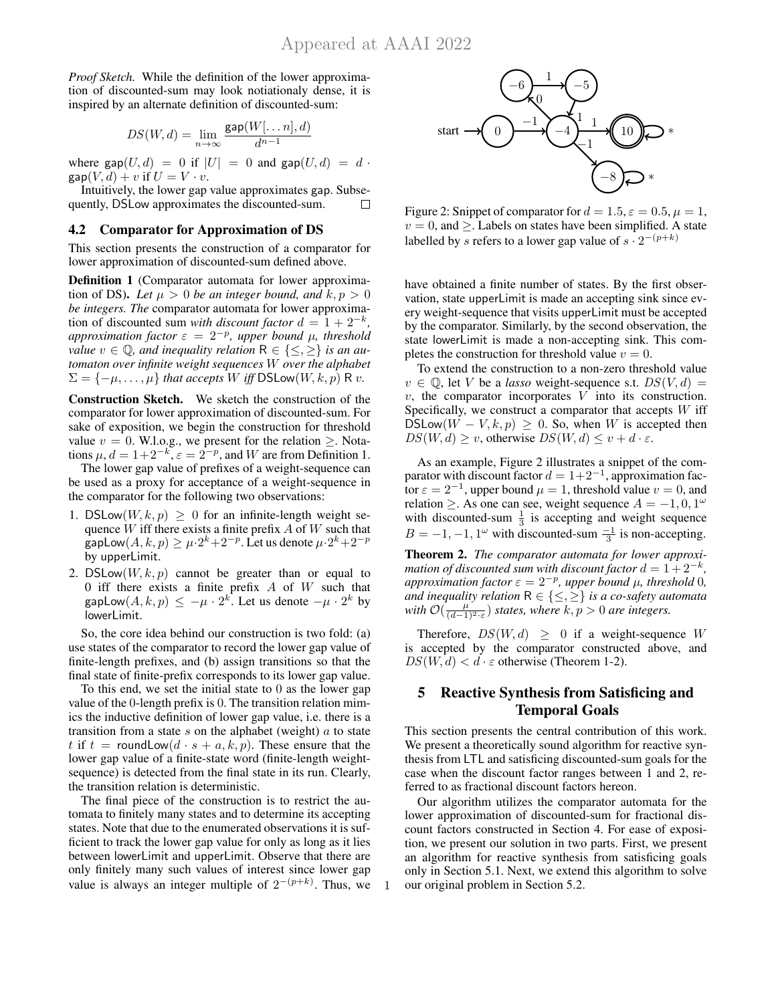*Proof Sketch.* While the definition of the lower approximation of discounted-sum may look notiationaly dense, it is inspired by an alternate definition of discounted-sum:

$$
DS(W, d) = \lim_{n \to \infty} \frac{\text{gap}(W[\dots n], d)}{d^{n-1}}
$$

where  $\text{gap}(U, d) = 0$  if  $|U| = 0$  and  $\text{gap}(U, d) = d$ .  $\text{gap}(V, d) + v$  if  $U = V \cdot v$ .

Intuitively, the lower gap value approximates gap. Subsequently, DSLow approximates the discounted-sum.  $\Box$ 

#### 4.2 Comparator for Approximation of DS

This section presents the construction of a comparator for lower approximation of discounted-sum defined above.

Definition 1 (Comparator automata for lower approximation of DS). Let  $\mu > 0$  be an integer bound, and  $k, p > 0$ *be integers. The* comparator automata for lower approximation of discounted sum *with discount factor*  $d = 1 + 2^{-k}$ , *approximation factor*  $\varepsilon = 2^{-p}$ , *upper bound*  $\mu$ , *threshold value*  $v \in \mathbb{Q}$ , and inequality relation  $R \in \{\leq, \geq\}$  *is an automaton over infinite weight sequences* W *over the alphabet*  $\Sigma = \{-\mu, \dots, \mu\}$  *that accepts* W *iff* DSLow(W, k, p) R *v.* 

Construction Sketch. We sketch the construction of the comparator for lower approximation of discounted-sum. For sake of exposition, we begin the construction for threshold value  $v = 0$ . W.l.o.g., we present for the relation  $\geq$ . Notations  $\mu$ ,  $d = 1 + 2^{-k}$ ,  $\varepsilon = 2^{-p}$ , and W are from Definition 1.

The lower gap value of prefixes of a weight-sequence can be used as a proxy for acceptance of a weight-sequence in the comparator for the following two observations:

- 1. DSLow $(W, k, p) \geq 0$  for an infinite-length weight sequence  $W$  iff there exists a finite prefix  $A$  of  $W$  such that gapLow $(A, k, p) \ge \mu \cdot 2^k + 2^{-p}$ . Let us denote  $\mu \cdot 2^k + 2^{-p}$ by upperLimit.
- 2. DSLow $(W, k, p)$  cannot be greater than or equal to 0 iff there exists a finite prefix  $A$  of  $W$  such that gapLow $(A, k, p) \le -\mu \cdot 2^k$ . Let us denote  $-\mu \cdot 2^k$  by lowerLimit.

So, the core idea behind our construction is two fold: (a) use states of the comparator to record the lower gap value of finite-length prefixes, and (b) assign transitions so that the final state of finite-prefix corresponds to its lower gap value.

To this end, we set the initial state to 0 as the lower gap value of the 0-length prefix is 0. The transition relation mimics the inductive definition of lower gap value, i.e. there is a transition from a state  $s$  on the alphabet (weight)  $a$  to state t if  $t =$  roundLow $(d \cdot s + a, k, p)$ . These ensure that the lower gap value of a finite-state word (finite-length weightsequence) is detected from the final state in its run. Clearly, the transition relation is deterministic.

The final piece of the construction is to restrict the automata to finitely many states and to determine its accepting states. Note that due to the enumerated observations it is sufficient to track the lower gap value for only as long as it lies between lowerLimit and upperLimit. Observe that there are only finitely many such values of interest since lower gap value is always an integer multiple of  $2^{-(p+k)}$ . Thus, we



Figure 2: Snippet of comparator for  $d = 1.5$ ,  $\varepsilon = 0.5$ ,  $\mu = 1$ ,  $v = 0$ , and  $\geq$ . Labels on states have been simplified. A state labelled by s refers to a lower gap value of  $s \cdot 2^{-(p+k)}$ 

have obtained a finite number of states. By the first observation, state upperLimit is made an accepting sink since every weight-sequence that visits upperLimit must be accepted by the comparator. Similarly, by the second observation, the state lowerLimit is made a non-accepting sink. This completes the construction for threshold value  $v = 0$ .

To extend the construction to a non-zero threshold value  $v \in \mathbb{Q}$ , let V be a *lasso* weight-sequence s.t.  $DS(V, d) =$  $v$ , the comparator incorporates  $V$  into its construction. Specifically, we construct a comparator that accepts  $W$  iff DSLow $(W - V, k, p) \geq 0$ . So, when W is accepted then  $DS(W, d) \ge v$ , otherwise  $DS(W, d) \le v + d \cdot \varepsilon$ .

As an example, Figure 2 illustrates a snippet of the comparator with discount factor  $d = 1+2^{-1}$ , approximation facfor  $\varepsilon = 2^{-1}$ , upper bound  $\mu = 1$ , threshold value  $v = 0$ , and relation  $\geq$ . As one can see, weight sequence  $A = -1, 0, 1^{\omega}$ with discounted-sum  $\frac{1}{3}$  is accepting and weight sequence  $B = -1, -1, 1^{\omega}$  with discounted-sum  $\frac{-1}{3}$  is non-accepting.

Theorem 2. *The comparator automata for lower approximation of discounted sum with discount factor*  $d = 1 + 2^{-k}$ , *approximation factor*  $\varepsilon = 2^{-p}$ *, upper bound*  $\mu$ *, threshold* 0*, and inequality relation*  $R \in \{\leq, \geq\}$  *is a co-safety automata* with  $\mathcal{O}(\frac{\mu}{(d-1)^2 \cdot \varepsilon})$  *states, where*  $k, p > 0$  *are integers.* 

Therefore,  $DS(W, d) \geq 0$  if a weight-sequence W is accepted by the comparator constructed above, and  $DS(W, d) < d \cdot \varepsilon$  otherwise (Theorem 1-2).

# 5 Reactive Synthesis from Satisficing and Temporal Goals

This section presents the central contribution of this work. We present a theoretically sound algorithm for reactive synthesis from LTL and satisficing discounted-sum goals for the case when the discount factor ranges between 1 and 2, referred to as fractional discount factors hereon.

Our algorithm utilizes the comparator automata for the lower approximation of discounted-sum for fractional discount factors constructed in Section 4. For ease of exposition, we present our solution in two parts. First, we present an algorithm for reactive synthesis from satisficing goals only in Section 5.1. Next, we extend this algorithm to solve our original problem in Section 5.2.

1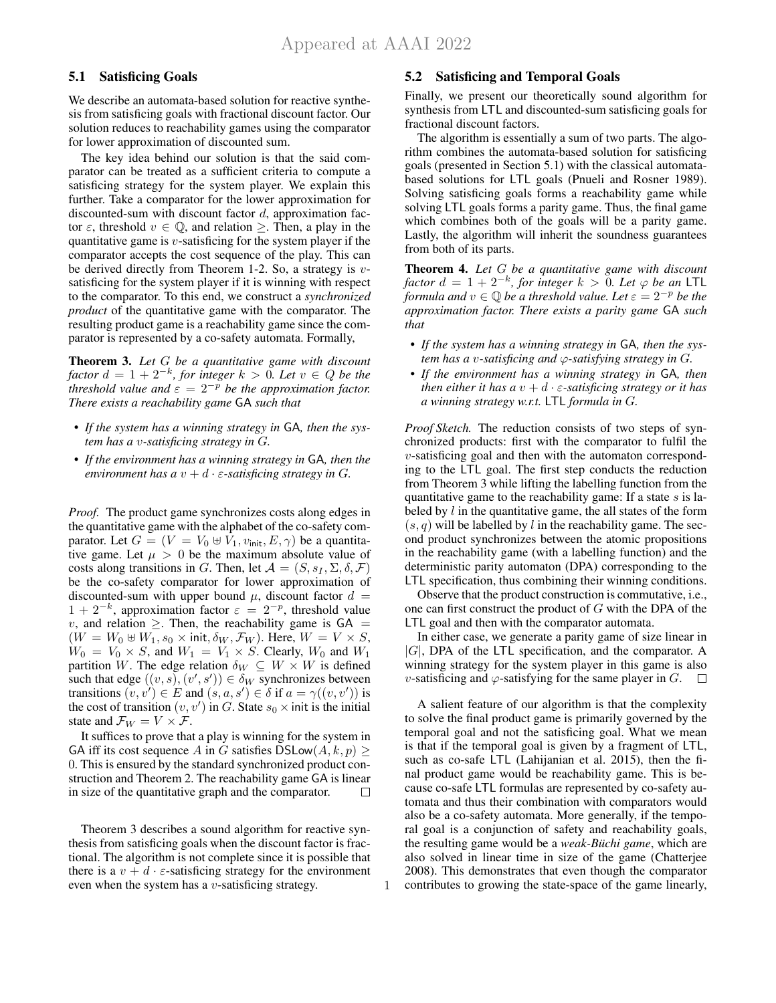# 5.1 Satisficing Goals

We describe an automata-based solution for reactive synthesis from satisficing goals with fractional discount factor. Our solution reduces to reachability games using the comparator for lower approximation of discounted sum.

The key idea behind our solution is that the said comparator can be treated as a sufficient criteria to compute a satisficing strategy for the system player. We explain this further. Take a comparator for the lower approximation for discounted-sum with discount factor  $d$ , approximation factor  $\varepsilon$ , threshold  $v \in \mathbb{Q}$ , and relation  $\geq$ . Then, a play in the quantitative game is  $v$ -satisficing for the system player if the comparator accepts the cost sequence of the play. This can be derived directly from Theorem 1-2. So, a strategy is  $v$ satisficing for the system player if it is winning with respect to the comparator. To this end, we construct a *synchronized product* of the quantitative game with the comparator. The resulting product game is a reachability game since the comparator is represented by a co-safety automata. Formally,

Theorem 3. *Let* G *be a quantitative game with discount factor*  $d = 1 + 2^{-k}$ *, for integer*  $k > 0$ *. Let*  $v \in Q$  *be the threshold value and*  $\varepsilon = 2^{-p}$  *be the approximation factor. There exists a reachability game* GA *such that*

- *If the system has a winning strategy in* GA*, then the system has a* v*-satisficing strategy in* G*.*
- *If the environment has a winning strategy in* GA*, then the environment has a*  $v + d \cdot \varepsilon$ -satisficing strategy in G.

*Proof.* The product game synchronizes costs along edges in the quantitative game with the alphabet of the co-safety comparator. Let  $G = (V = V_0 \oplus V_1, v_{init}, E, \gamma)$  be a quantitative game. Let  $\mu > 0$  be the maximum absolute value of costs along transitions in G. Then, let  $\mathcal{A} = (S, s_I, \Sigma, \delta, \mathcal{F})$ be the co-safety comparator for lower approximation of discounted-sum with upper bound  $\mu$ , discount factor  $d =$  $1 + 2^{-k}$ , approximation factor  $\varepsilon = 2^{-p}$ , threshold value v, and relation  $\geq$ . Then, the reachability game is  $GA =$  $(W = W_0 \oplus W_1, s_0 \times \text{init}, \delta_W, \mathcal{F}_W)$ . Here,  $W = V \times S$ ,  $W_0 = V_0 \times S$ , and  $W_1 = V_1 \times S$ . Clearly,  $W_0$  and  $W_1$ partition W. The edge relation  $\delta_W \subseteq W \times W$  is defined such that edge  $((v, s), (v', s')) \in \delta_W$  synchronizes between transitions  $(v, v') \in E$  and  $(s, a, s') \in \delta$  if  $a = \gamma((v, v'))$  is the cost of transition  $(v, v')$  in G. State  $s_0 \times$  init is the initial state and  $\mathcal{F}_W = V \times \mathcal{F}$ .

It suffices to prove that a play is winning for the system in GA iff its cost sequence A in G satisfies DSLow $(A, k, p) \geq$ 0. This is ensured by the standard synchronized product construction and Theorem 2. The reachability game GA is linear in size of the quantitative graph and the comparator.  $\Box$ 

Theorem 3 describes a sound algorithm for reactive synthesis from satisficing goals when the discount factor is fractional. The algorithm is not complete since it is possible that there is a  $v + d \cdot \varepsilon$ -satisficing strategy for the environment even when the system has a  $v$ -satisficing strategy.

1

#### 5.2 Satisficing and Temporal Goals

Finally, we present our theoretically sound algorithm for synthesis from LTL and discounted-sum satisficing goals for fractional discount factors.

The algorithm is essentially a sum of two parts. The algorithm combines the automata-based solution for satisficing goals (presented in Section 5.1) with the classical automatabased solutions for LTL goals (Pnueli and Rosner 1989). Solving satisficing goals forms a reachability game while solving LTL goals forms a parity game. Thus, the final game which combines both of the goals will be a parity game. Lastly, the algorithm will inherit the soundness guarantees from both of its parts.

Theorem 4. *Let* G *be a quantitative game with discount factor*  $d = 1 + 2^{-k}$ *, for integer*  $k > 0$ *. Let*  $\varphi$  *be an* LTL *formula and*  $v \in \mathbb{Q}$  *be a threshold value. Let*  $\varepsilon = 2^{-p}$  *be the approximation factor. There exists a parity game* GA *such that*

- *If the system has a winning strategy in* GA*, then the system has a v-satisficing and*  $\varphi$ -satisfying strategy in G.
- *If the environment has a winning strategy in* GA*, then then either it has a*  $v + d \cdot \varepsilon$ -satisficing strategy or it has *a winning strategy w.r.t.* LTL *formula in* G*.*

*Proof Sketch.* The reduction consists of two steps of synchronized products: first with the comparator to fulfil the v-satisficing goal and then with the automaton corresponding to the LTL goal. The first step conducts the reduction from Theorem 3 while lifting the labelling function from the quantitative game to the reachability game: If a state  $s$  is labeled by l in the quantitative game, the all states of the form  $(s, q)$  will be labelled by l in the reachability game. The second product synchronizes between the atomic propositions in the reachability game (with a labelling function) and the deterministic parity automaton (DPA) corresponding to the LTL specification, thus combining their winning conditions.

Observe that the product construction is commutative, i.e., one can first construct the product of  $G$  with the DPA of the LTL goal and then with the comparator automata.

In either case, we generate a parity game of size linear in  $|G|$ , DPA of the LTL specification, and the comparator. A winning strategy for the system player in this game is also v-satisficing and  $\varphi$ -satisfying for the same player in G.  $\Box$ 

A salient feature of our algorithm is that the complexity to solve the final product game is primarily governed by the temporal goal and not the satisficing goal. What we mean is that if the temporal goal is given by a fragment of LTL, such as co-safe LTL (Lahijanian et al. 2015), then the final product game would be reachability game. This is because co-safe LTL formulas are represented by co-safety automata and thus their combination with comparators would also be a co-safety automata. More generally, if the temporal goal is a conjunction of safety and reachability goals, the resulting game would be a *weak-Büchi game*, which are also solved in linear time in size of the game (Chatterjee 2008). This demonstrates that even though the comparator contributes to growing the state-space of the game linearly,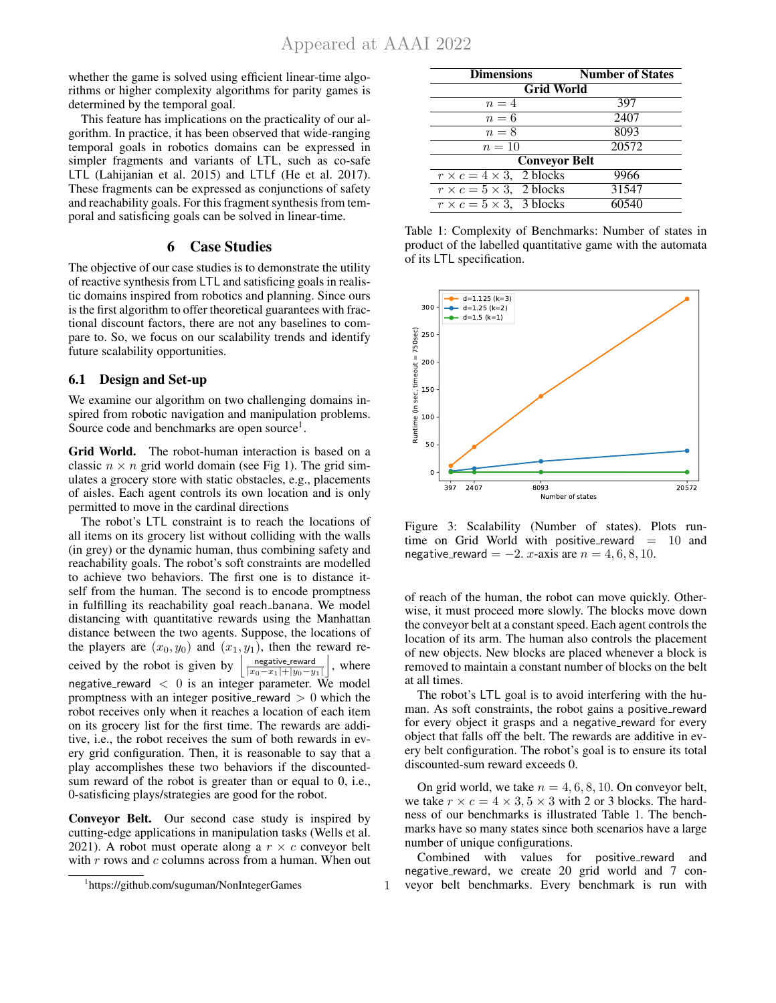whether the game is solved using efficient linear-time algorithms or higher complexity algorithms for parity games is determined by the temporal goal.

This feature has implications on the practicality of our algorithm. In practice, it has been observed that wide-ranging temporal goals in robotics domains can be expressed in simpler fragments and variants of LTL, such as co-safe LTL (Lahijanian et al. 2015) and LTLf (He et al. 2017). These fragments can be expressed as conjunctions of safety and reachability goals. For this fragment synthesis from temporal and satisficing goals can be solved in linear-time.

## 6 Case Studies

The objective of our case studies is to demonstrate the utility of reactive synthesis from LTL and satisficing goals in realistic domains inspired from robotics and planning. Since ours is the first algorithm to offer theoretical guarantees with fractional discount factors, there are not any baselines to compare to. So, we focus on our scalability trends and identify future scalability opportunities.

### 6.1 Design and Set-up

We examine our algorithm on two challenging domains inspired from robotic navigation and manipulation problems. Source code and benchmarks are open source<sup>1</sup>.

Grid World. The robot-human interaction is based on a classic  $n \times n$  grid world domain (see Fig 1). The grid simulates a grocery store with static obstacles, e.g., placements of aisles. Each agent controls its own location and is only permitted to move in the cardinal directions

The robot's LTL constraint is to reach the locations of all items on its grocery list without colliding with the walls (in grey) or the dynamic human, thus combining safety and reachability goals. The robot's soft constraints are modelled to achieve two behaviors. The first one is to distance itself from the human. The second is to encode promptness in fulfilling its reachability goal reach banana. We model distancing with quantitative rewards using the Manhattan distance between the two agents. Suppose, the locations of the players are  $(x_0, y_0)$  and  $(x_1, y_1)$ , then the reward received by the robot is given by  $\frac{\text{negative reward}}{|x_0 - x_1| + |y_0 - y_1|}$  $\vert$ , where negative\_reward  $<$  0 is an integer parameter. We model promptness with an integer positive reward  $> 0$  which the robot receives only when it reaches a location of each item on its grocery list for the first time. The rewards are additive, i.e., the robot receives the sum of both rewards in every grid configuration. Then, it is reasonable to say that a play accomplishes these two behaviors if the discountedsum reward of the robot is greater than or equal to 0, i.e., 0-satisficing plays/strategies are good for the robot.

Conveyor Belt. Our second case study is inspired by cutting-edge applications in manipulation tasks (Wells et al. 2021). A robot must operate along a  $r \times c$  conveyor belt with  $r$  rows and  $c$  columns across from a human. When out

| <b>Dimensions</b>                    | <b>Number of States</b> |  |  |  |  |  |
|--------------------------------------|-------------------------|--|--|--|--|--|
| <b>Grid World</b>                    |                         |  |  |  |  |  |
| $n=4$                                | 397                     |  |  |  |  |  |
| $n=6$                                | 2407                    |  |  |  |  |  |
| $n=8$                                | 8093                    |  |  |  |  |  |
| $n=10$                               | 20572                   |  |  |  |  |  |
| <b>Conveyor Belt</b>                 |                         |  |  |  |  |  |
| $r \times c = 4 \times 3$ , 2 blocks | 9966                    |  |  |  |  |  |
| $r \times c = 5 \times 3$ , 2 blocks | 31547                   |  |  |  |  |  |
| $r \times c = 5 \times 3$ , 3 blocks | 60540                   |  |  |  |  |  |

Table 1: Complexity of Benchmarks: Number of states in product of the labelled quantitative game with the automata of its LTL specification.



Figure 3: Scalability (Number of states). Plots runtime on Grid World with positive\_reward =  $10$  and negative\_reward =  $-2$ . x-axis are  $n = 4, 6, 8, 10$ .

of reach of the human, the robot can move quickly. Otherwise, it must proceed more slowly. The blocks move down the conveyor belt at a constant speed. Each agent controls the location of its arm. The human also controls the placement of new objects. New blocks are placed whenever a block is removed to maintain a constant number of blocks on the belt at all times.

The robot's LTL goal is to avoid interfering with the human. As soft constraints, the robot gains a positive reward for every object it grasps and a negative\_reward for every object that falls off the belt. The rewards are additive in every belt configuration. The robot's goal is to ensure its total discounted-sum reward exceeds 0.

On grid world, we take  $n = 4, 6, 8, 10$ . On conveyor belt, we take  $r \times c = 4 \times 3, 5 \times 3$  with 2 or 3 blocks. The hardness of our benchmarks is illustrated Table 1. The benchmarks have so many states since both scenarios have a large number of unique configurations.

Combined with values for positive reward and negative\_reward, we create 20 grid world and 7 conveyor belt benchmarks. Every benchmark is run with

<sup>1</sup> https://github.com/suguman/NonIntegerGames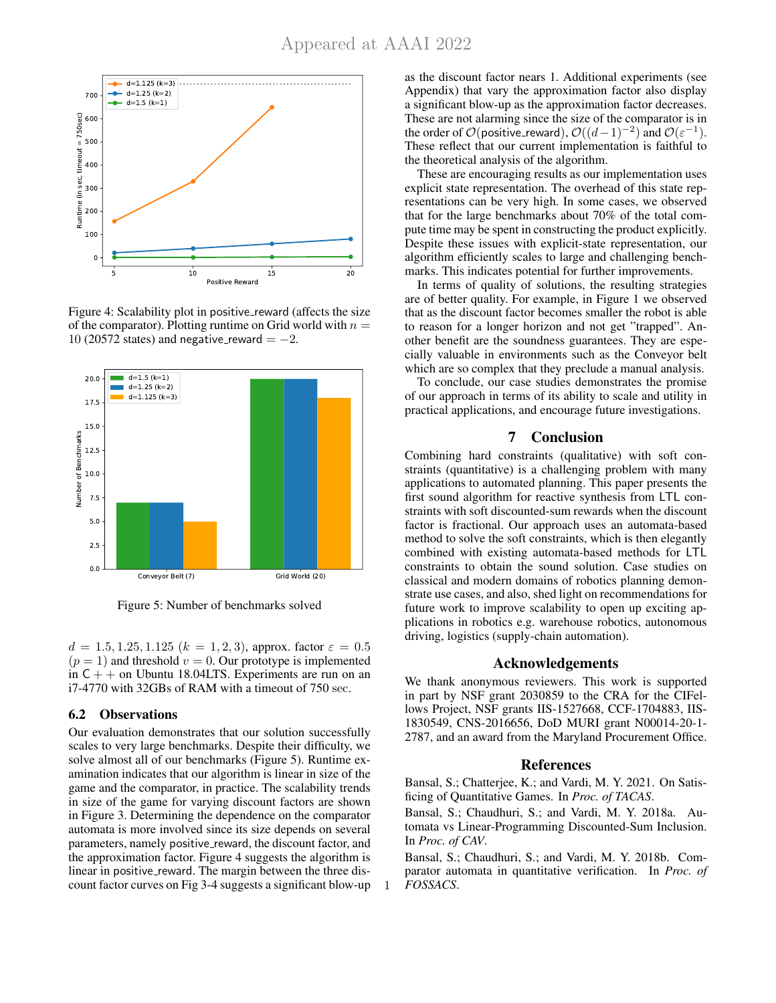

Figure 4: Scalability plot in positive\_reward (affects the size of the comparator). Plotting runtime on Grid world with  $n =$ 10 (20572 states) and negative\_reward  $=-2$ .



Figure 5: Number of benchmarks solved

 $d = 1.5, 1.25, 1.125$   $(k = 1, 2, 3)$ , approx. factor  $\varepsilon = 0.5$  $(p = 1)$  and threshold  $v = 0$ . Our prototype is implemented in  $C_{+}$  + on Ubuntu 18.04LTS. Experiments are run on an i7-4770 with 32GBs of RAM with a timeout of 750 sec.

#### 6.2 Observations

Our evaluation demonstrates that our solution successfully scales to very large benchmarks. Despite their difficulty, we solve almost all of our benchmarks (Figure 5). Runtime examination indicates that our algorithm is linear in size of the game and the comparator, in practice. The scalability trends in size of the game for varying discount factors are shown in Figure 3. Determining the dependence on the comparator automata is more involved since its size depends on several parameters, namely positive\_reward, the discount factor, and the approximation factor. Figure 4 suggests the algorithm is linear in positive reward. The margin between the three discount factor curves on Fig 3-4 suggests a significant blow-up as the discount factor nears 1. Additional experiments (see Appendix) that vary the approximation factor also display a significant blow-up as the approximation factor decreases. These are not alarming since the size of the comparator is in the order of  $\mathcal{O}(\text{positive\_reward})$ ,  $\mathcal{O}((d-1)^{-2})$  and  $\mathcal{O}(\varepsilon^{-1})$ . These reflect that our current implementation is faithful to the theoretical analysis of the algorithm.

These are encouraging results as our implementation uses explicit state representation. The overhead of this state representations can be very high. In some cases, we observed that for the large benchmarks about 70% of the total compute time may be spent in constructing the product explicitly. Despite these issues with explicit-state representation, our algorithm efficiently scales to large and challenging benchmarks. This indicates potential for further improvements.

In terms of quality of solutions, the resulting strategies are of better quality. For example, in Figure 1 we observed that as the discount factor becomes smaller the robot is able to reason for a longer horizon and not get "trapped". Another benefit are the soundness guarantees. They are especially valuable in environments such as the Conveyor belt which are so complex that they preclude a manual analysis.

To conclude, our case studies demonstrates the promise of our approach in terms of its ability to scale and utility in practical applications, and encourage future investigations.

# 7 Conclusion

Combining hard constraints (qualitative) with soft constraints (quantitative) is a challenging problem with many applications to automated planning. This paper presents the first sound algorithm for reactive synthesis from LTL constraints with soft discounted-sum rewards when the discount factor is fractional. Our approach uses an automata-based method to solve the soft constraints, which is then elegantly combined with existing automata-based methods for LTL constraints to obtain the sound solution. Case studies on classical and modern domains of robotics planning demonstrate use cases, and also, shed light on recommendations for future work to improve scalability to open up exciting applications in robotics e.g. warehouse robotics, autonomous driving, logistics (supply-chain automation).

#### Acknowledgements

We thank anonymous reviewers. This work is supported in part by NSF grant 2030859 to the CRA for the CIFellows Project, NSF grants IIS-1527668, CCF-1704883, IIS-1830549, CNS-2016656, DoD MURI grant N00014-20-1- 2787, and an award from the Maryland Procurement Office.

#### References

Bansal, S.; Chatterjee, K.; and Vardi, M. Y. 2021. On Satisficing of Quantitative Games. In *Proc. of TACAS*.

Bansal, S.; Chaudhuri, S.; and Vardi, M. Y. 2018a. Automata vs Linear-Programming Discounted-Sum Inclusion. In *Proc. of CAV*.

Bansal, S.; Chaudhuri, S.; and Vardi, M. Y. 2018b. Comparator automata in quantitative verification. In *Proc. of FOSSACS*.

1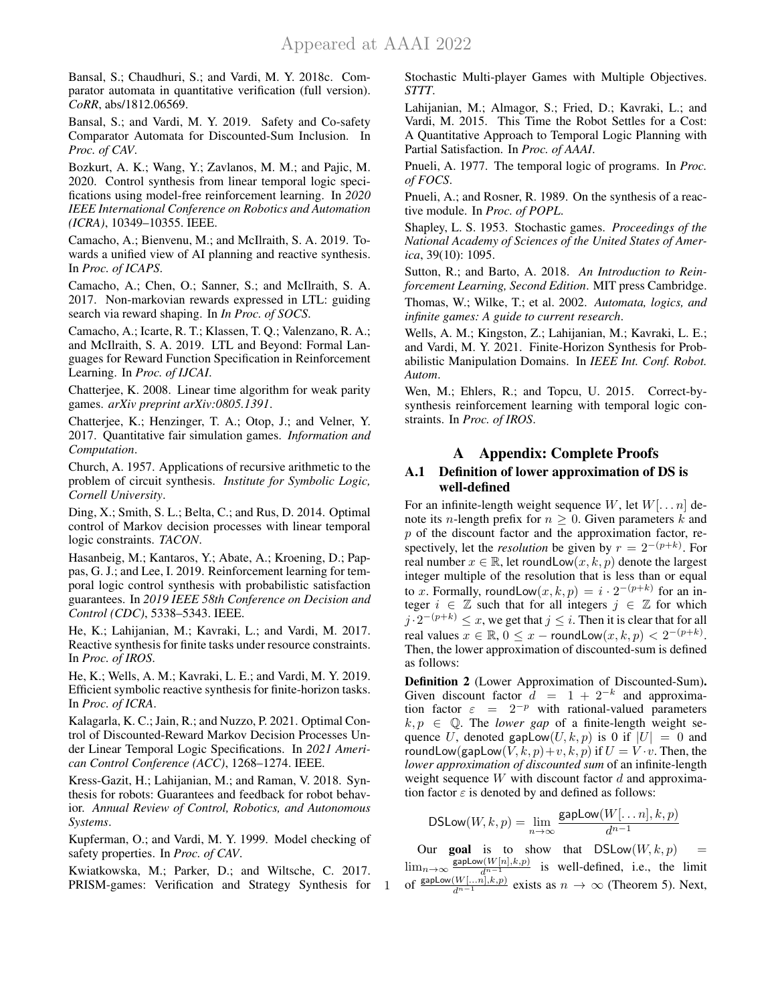Bansal, S.; Chaudhuri, S.; and Vardi, M. Y. 2018c. Comparator automata in quantitative verification (full version). *CoRR*, abs/1812.06569.

Bansal, S.; and Vardi, M. Y. 2019. Safety and Co-safety Comparator Automata for Discounted-Sum Inclusion. In *Proc. of CAV*.

Bozkurt, A. K.; Wang, Y.; Zavlanos, M. M.; and Pajic, M. 2020. Control synthesis from linear temporal logic specifications using model-free reinforcement learning. In *2020 IEEE International Conference on Robotics and Automation (ICRA)*, 10349–10355. IEEE.

Camacho, A.; Bienvenu, M.; and McIlraith, S. A. 2019. Towards a unified view of AI planning and reactive synthesis. In *Proc. of ICAPS*.

Camacho, A.; Chen, O.; Sanner, S.; and McIlraith, S. A. 2017. Non-markovian rewards expressed in LTL: guiding search via reward shaping. In *In Proc. of SOCS*.

Camacho, A.; Icarte, R. T.; Klassen, T. Q.; Valenzano, R. A.; and McIlraith, S. A. 2019. LTL and Beyond: Formal Languages for Reward Function Specification in Reinforcement Learning. In *Proc. of IJCAI*.

Chatterjee, K. 2008. Linear time algorithm for weak parity games. *arXiv preprint arXiv:0805.1391*.

Chatterjee, K.; Henzinger, T. A.; Otop, J.; and Velner, Y. 2017. Quantitative fair simulation games. *Information and Computation*.

Church, A. 1957. Applications of recursive arithmetic to the problem of circuit synthesis. *Institute for Symbolic Logic, Cornell University*.

Ding, X.; Smith, S. L.; Belta, C.; and Rus, D. 2014. Optimal control of Markov decision processes with linear temporal logic constraints. *TACON*.

Hasanbeig, M.; Kantaros, Y.; Abate, A.; Kroening, D.; Pappas, G. J.; and Lee, I. 2019. Reinforcement learning for temporal logic control synthesis with probabilistic satisfaction guarantees. In *2019 IEEE 58th Conference on Decision and Control (CDC)*, 5338–5343. IEEE.

He, K.; Lahijanian, M.; Kavraki, L.; and Vardi, M. 2017. Reactive synthesis for finite tasks under resource constraints. In *Proc. of IROS*.

He, K.; Wells, A. M.; Kavraki, L. E.; and Vardi, M. Y. 2019. Efficient symbolic reactive synthesis for finite-horizon tasks. In *Proc. of ICRA*.

Kalagarla, K. C.; Jain, R.; and Nuzzo, P. 2021. Optimal Control of Discounted-Reward Markov Decision Processes Under Linear Temporal Logic Specifications. In *2021 American Control Conference (ACC)*, 1268–1274. IEEE.

Kress-Gazit, H.; Lahijanian, M.; and Raman, V. 2018. Synthesis for robots: Guarantees and feedback for robot behavior. *Annual Review of Control, Robotics, and Autonomous Systems*.

Kupferman, O.; and Vardi, M. Y. 1999. Model checking of safety properties. In *Proc. of CAV*.

Kwiatkowska, M.; Parker, D.; and Wiltsche, C. 2017. PRISM-games: Verification and Strategy Synthesis for

1

Stochastic Multi-player Games with Multiple Objectives. *STTT*.

Lahijanian, M.; Almagor, S.; Fried, D.; Kavraki, L.; and Vardi, M. 2015. This Time the Robot Settles for a Cost: A Quantitative Approach to Temporal Logic Planning with Partial Satisfaction. In *Proc. of AAAI*.

Pnueli, A. 1977. The temporal logic of programs. In *Proc. of FOCS*.

Pnueli, A.; and Rosner, R. 1989. On the synthesis of a reactive module. In *Proc. of POPL*.

Shapley, L. S. 1953. Stochastic games. *Proceedings of the National Academy of Sciences of the United States of America*, 39(10): 1095.

Sutton, R.; and Barto, A. 2018. *An Introduction to Reinforcement Learning, Second Edition*. MIT press Cambridge.

Thomas, W.; Wilke, T.; et al. 2002. *Automata, logics, and infinite games: A guide to current research*.

Wells, A. M.; Kingston, Z.; Lahijanian, M.; Kavraki, L. E.; and Vardi, M. Y. 2021. Finite-Horizon Synthesis for Probabilistic Manipulation Domains. In *IEEE Int. Conf. Robot. Autom*.

Wen, M.; Ehlers, R.; and Topcu, U. 2015. Correct-bysynthesis reinforcement learning with temporal logic constraints. In *Proc. of IROS*.

# A Appendix: Complete Proofs

## A.1 Definition of lower approximation of DS is well-defined

For an infinite-length weight sequence W, let  $W[\dots n]$  denote its *n*-length prefix for  $n \geq 0$ . Given parameters k and  $p$  of the discount factor and the approximation factor, respectively, let the *resolution* be given by  $r = 2^{-(p+k)}$ . For real number  $x \in \mathbb{R}$ , let roundLow $(x, k, p)$  denote the largest integer multiple of the resolution that is less than or equal to x. Formally, roundLow $(x, k, p) = i \cdot 2^{-(p+k)}$  for an integer  $i \in \mathbb{Z}$  such that for all integers  $j \in \mathbb{Z}$  for which  $j \cdot 2^{-(p+k)} \leq x$ , we get that  $j \leq i$ . Then it is clear that for all real values  $x \in \mathbb{R}$ ,  $0 \le x -$  roundLow $(x, k, p) < 2^{-(p+k)}$ . Then, the lower approximation of discounted-sum is defined as follows:

Definition 2 (Lower Approximation of Discounted-Sum). Given discount factor  $\hat{d} = 1 + 2^{-k}$  and approximation factor  $\varepsilon = 2^{-p}$  with rational-valued parameters  $k, p \in \mathbb{Q}$ . The *lower gap* of a finite-length weight sequence U, denoted gapLow $(U, k, p)$  is 0 if  $|U| = 0$  and roundLow(gapLow( $V, k, p$ )+v,  $k, p$ ) if  $U = V \cdot v$ . Then, the *lower approximation of discounted sum* of an infinite-length weight sequence  $W$  with discount factor  $d$  and approximation factor  $\varepsilon$  is denoted by and defined as follows:

$$
\mathsf{DSLow}(W, k, p) = \lim_{n \to \infty} \frac{\mathsf{gapLow}(W[\dots n], k, p)}{d^{n-1}}
$$

Our **goal** is to show that  $DSLow(W, k, p)$  $\lim_{n\to\infty} \frac{\text{gapLow}(W[n],k,p)}{d^{n-1}}$  is well-defined, i.e., the limit of  $\frac{\text{gapLow}(W[\dots n], k, p)}{d^{n-1}}$  exists as  $n \to \infty$  (Theorem 5). Next,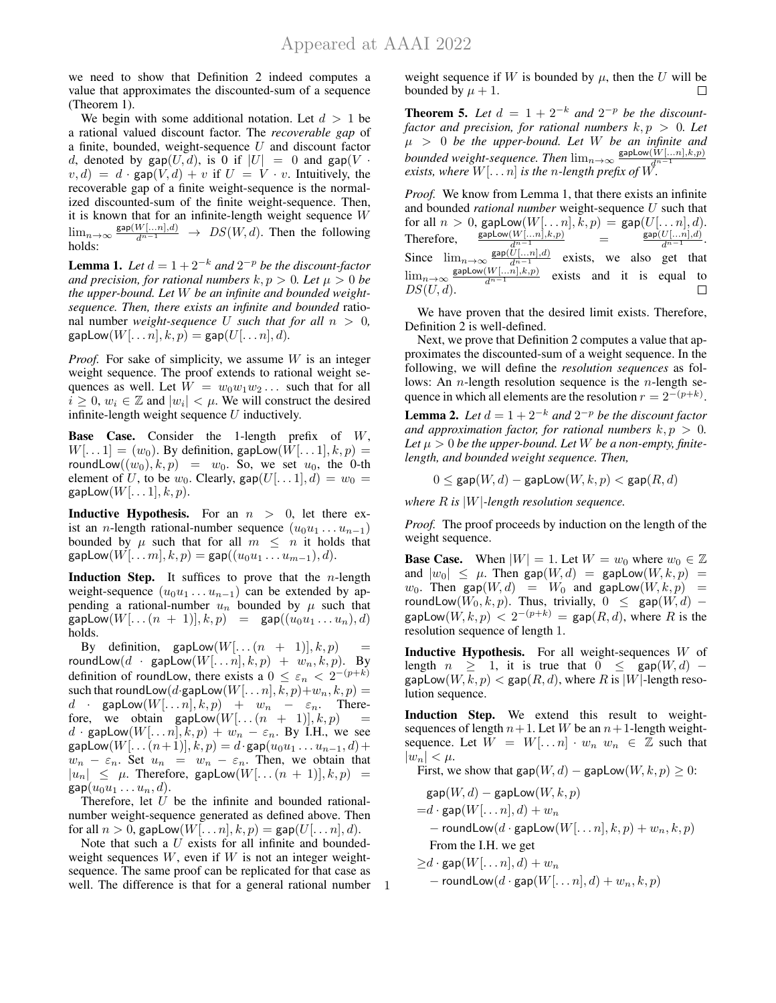we need to show that Definition 2 indeed computes a value that approximates the discounted-sum of a sequence (Theorem 1).

We begin with some additional notation. Let  $d > 1$  be a rational valued discount factor. The *recoverable gap* of a finite, bounded, weight-sequence  $U$  and discount factor d, denoted by gap(U,d), is 0 if  $|U| = 0$  and gap(V  $\cdot$  $v, d) = d \cdot \text{gap}(V, d) + v$  if  $U = V \cdot v$ . Intuitively, the recoverable gap of a finite weight-sequence is the normalized discounted-sum of the finite weight-sequence. Then, it is known that for an infinite-length weight sequence W  $\lim_{n\to\infty} \frac{\text{gap}(W[\dots n],d)}{d^{n-1}} \to DS(W,d)$ . Then the following holds:

**Lemma 1.** Let  $d = 1 + 2^{-k}$  and  $2^{-p}$  be the discount-factor *and precision, for rational numbers*  $k, p > 0$ *. Let*  $\mu > 0$  *be the upper-bound. Let* W *be an infinite and bounded weightsequence. Then, there exists an infinite and bounded* rational number *weight-sequence* U *such that for all*  $n > 0$ ,  $gapLow(W[\ldots n], k, p) = gap(U[\ldots n], d).$ 

*Proof.* For sake of simplicity, we assume W is an integer weight sequence. The proof extends to rational weight sequences as well. Let  $W = w_0w_1w_2...$  such that for all  $i \geq 0$ ,  $w_i \in \mathbb{Z}$  and  $|w_i| < \mu$ . We will construct the desired infinite-length weight sequence  $U$  inductively.

**Base Case.** Consider the 1-length prefix of  $W$ ,  $W[\ldots 1] = (w_0)$ . By definition, gapLow $(W[\ldots 1], k, p) =$ roundLow $((w_0), k, p) = w_0$ . So, we set  $u_0$ , the 0-th element of U, to be  $w_0$ . Clearly,  $\text{gap}(U[\dots 1], d) = w_0 =$  $gapLow(W[\dots 1], k, p).$ 

**Inductive Hypothesis.** For an  $n > 0$ , let there exist an *n*-length rational-number sequence  $(u_0u_1 \ldots u_{n-1})$ bounded by  $\mu$  such that for all  $m \leq n$  it holds that  $\textsf{gapLow}(W[\dots m], k, p) = \textsf{gap}((u_0u_1 \dots u_{m-1}), d).$ 

**Induction Step.** It suffices to prove that the  $n$ -length weight-sequence  $(u_0u_1 \ldots u_{n-1})$  can be extended by appending a rational-number  $u_n$  bounded by  $\mu$  such that  $\textsf{gapLow}(W[\dots(n + 1)], k, p) = \textsf{gap}((u_0u_1 \dots u_n), d)$ holds.

By definition, gapLow $(W[\dots (n + 1)], k, p)$ roundLow $(d \cdot \text{gapLow}(W[\dots n], k, p) + w_n, k, p)$ . By definition of roundLow, there exists a  $0 \leq \varepsilon_n < 2^{-(p+k)}$ such that roundLow(d·gapLow( $W[\ldots n], k, p)+w_n, k, p) =$  $d$  · gapLow $(W[\dots n], k, p)$  +  $w_n$  –  $\varepsilon_n$ . Therefore, we obtain gapLow $(W[\dots (n + 1)], k, p)$  =  $d \cdot \text{gapLow}(W[\dots n], k, p) + w_n - \varepsilon_n$ . By I.H., we see  $\textsf{gapLow}(W[\dots(n+1)], k, p) = d \cdot \textsf{gap}(u_0u_1 \dots u_{n-1}, d) +$  $w_n - \varepsilon_n$ . Set  $u_n = w_n - \varepsilon_n$ . Then, we obtain that  $|u_n| \leq \mu$ . Therefore, gapLow $(W[\dots(n+1)], k, p)$  $\textsf{gap}(u_0u_1 \ldots u_n, d).$ 

Therefore, let U be the infinite and bounded rationalnumber weight-sequence generated as defined above. Then for all  $n > 0$ , gapLow $(W[\dots n], k, p) = \text{gap}(U[\dots n], d)$ .

well. The difference is that for a general rational number 1 Note that such a  $U$  exists for all infinite and boundedweight sequences  $W$ , even if  $W$  is not an integer weightsequence. The same proof can be replicated for that case as

weight sequence if W is bounded by  $\mu$ , then the U will be bounded by  $\mu + 1$ .  $\Box$ 

**Theorem 5.** Let  $d = 1 + 2^{-k}$  and  $2^{-p}$  be the discount*factor and precision, for rational numbers*  $k, p > 0$ *. Let*  $\mu > 0$  *be the upper-bound. Let* W *be an infinite and bounded weight-sequence. Then*  $\lim_{n\to\infty} \frac{\text{gapLow}(W[...n],k,p)}{n-1}$ *exists, where*  $W[\dots n]$  *is the n*-length prefix of  $W$ .

*Proof.* We know from Lemma 1, that there exists an infinite and bounded *rational number* weight-sequence U such that for all  $n > 0$ , gapLow $(W[\dots n], k, p) = \text{gap}(U[\dots n], d)$ . Therefore,  $\frac{\text{gapLow}(W[\ldots n], k, p)}{d^{n-1}}$  =  $\frac{\textsf{gap}(U[...n],d)}{d^{n-1}}$ . Since  $\lim_{n\to\infty} \frac{\text{gap}(U[\dots n],d)}{d^{n-1}}$ exists, we also get that  $\lim_{n\to\infty}$  $\mathsf{gapLow}(W[\ldots n], k, p)$ exists and it is equal to  $\Box$  $DS(U, d)$ .

We have proven that the desired limit exists. Therefore, Definition 2 is well-defined.

Next, we prove that Definition 2 computes a value that approximates the discounted-sum of a weight sequence. In the following, we will define the *resolution sequences* as follows: An *n*-length resolution sequence is the *n*-length sequence in which all elements are the resolution  $r = 2^{-(p+k)}$ .

**Lemma 2.** Let  $d = 1 + 2^{-k}$  and  $2^{-p}$  be the discount factor *and approximation factor, for rational numbers*  $k, p > 0$ *.* Let  $\mu > 0$  be the upper-bound. Let W be a non-empty, finite*length, and bounded weight sequence. Then,*

 $0 \le \textsf{gap}(W, d) - \textsf{gapLow}(W, k, p) < \textsf{gap}(R, d)$ 

*where* R *is* |W|*-length resolution sequence.*

*Proof.* The proof proceeds by induction on the length of the weight sequence.

**Base Case.** When  $|W| = 1$ . Let  $W = w_0$  where  $w_0 \in \mathbb{Z}$ and  $|w_0| \leq \mu$ . Then gap( $W, d$ ) = gapLow( $W, k, p$ ) =  $w_0$ . Then gap $(W, d)$  =  $W_0$  and gapLow $(W, k, p)$  = roundLow $(W_0, k, p)$ . Thus, trivially,  $0 \leq \text{gap}(W, d)$  –  $\mathsf{gapLow}(W, k, p) < 2^{-(p+k)} = \mathsf{gap}(R, d)$ , where  $R$  is the resolution sequence of length 1.

**Inductive Hypothesis.** For all weight-sequences  $W$  of length  $n \geq 1$ , it is true that  $0 \leq \text{gap}(W, d)$  –  $\textsf{gapLow}(W, k, p) < \textsf{gap}(R, d)$ , where R is |W|-length resolution sequence.

Induction Step. We extend this result to weightsequences of length  $n+1$ . Let W be an  $n+1$ -length weightsequence. Let  $W = W[...n] \cdot w_n w_n \in \mathbb{Z}$  such that  $|w_n| < \mu$ .

First, we show that gap( $W, d$ ) – gapLow $(W, k, p) \geq 0$ :

$$
gap(W, d) - gapLow(W, k, p)
$$
  
= $d \cdot gap(W[\dots n], d) + w_n$   
- roundLow( $d \cdot gapLow(W[\dots n], k, p) + w_n, k, p$ )  
From the I.H. we get

$$
\geq d \cdot \text{gap}(W[\dots n], d) + w_n
$$
  
- roundLow(d · gap(W[\dots n], d) + w\_n, k, p)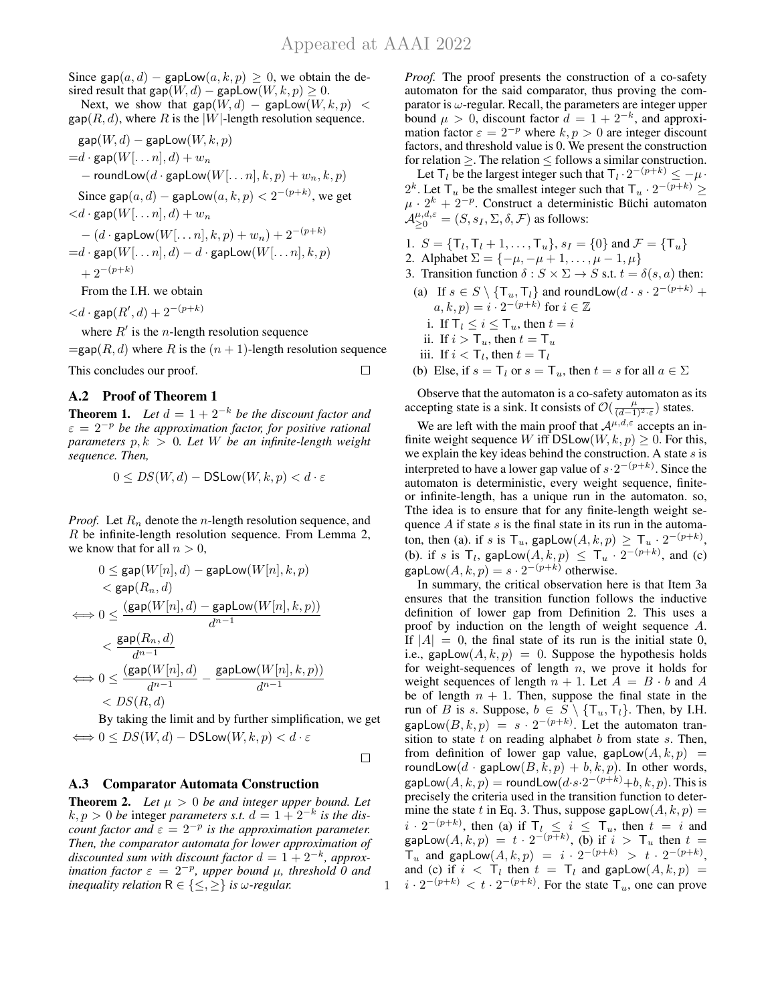Since gap(a, d) – gapLow(a, k, p)  $\geq$  0, we obtain the desired result that gap( $W, d$ ) – gapLow $(W, k, p) \geq 0$ .

Next, we show that  $\text{gap}(W, d)$  – gapLow $(W, k, p)$  <  $\mathsf{gap}(R, d)$ , where R is the |W|-length resolution sequence.

$$
\begin{aligned} &\texttt{gap}(W,d)-\texttt{gapLow}(W,k,p) \\ =&d\cdot\texttt{gap}(W[\dots n],d)+w_n\\ &-\texttt{roundLow}(d\cdot\texttt{gapLow}(W[\dots n],k,p)+w_n,k,p)\\ &\texttt{Since }\texttt{gap}(a,d)-\texttt{gapLow}(a,k,p) < 2^{-(p+k)}, \text{ we get} \\ < &d\cdot\texttt{gap}(W[\dots n],d)+w_n\\ &-(d\cdot\texttt{gapLow}(W[\dots n],k,p)+w_n)+2^{-(p+k)}\\ =&d\cdot\texttt{gap}(W[\dots n],d)-d\cdot\texttt{gapLow}(W[\dots n],k,p)\\ &+2^{-(p+k)}\\ &\texttt{From the I.H. we obtain} \end{aligned}
$$

 $\langle d \cdot \textsf{gap}(R',d) + 2^{-(p+k)} \rangle$ 

where  $R'$  is the *n*-length resolution sequence

 $=$ gap $(R, d)$  where R is the  $(n + 1)$ -length resolution sequence This concludes our proof.  $\Box$ 

## A.2 Proof of Theorem 1

**Theorem 1.** *Let*  $d = 1 + 2^{-k}$  *be the discount factor and*  $\varepsilon = 2^{-p}$  be the approximation factor, for positive rational *parameters* p, k > 0*. Let* W *be an infinite-length weight sequence. Then,*

$$
0 \le DS(W, d) - \mathsf{DSLow}(W, k, p) < d \cdot \varepsilon
$$

*Proof.* Let  $R_n$  denote the *n*-length resolution sequence, and R be infinite-length resolution sequence. From Lemma 2, we know that for all  $n > 0$ ,

$$
0 \leq \text{gap}(W[n], d) - \text{gapLow}(W[n], k, p)
$$
  

$$
< \text{gap}(R_n, d)
$$
  

$$
\iff 0 \leq \frac{(\text{gap}(W[n], d) - \text{gapLow}(W[n], k, p))}{d^{n-1}}
$$
  

$$
< \frac{\text{gap}(R_n, d)}{d^{n-1}}
$$
  

$$
\iff 0 \leq \frac{(\text{gap}(W[n], d)}{d^{n-1}} - \frac{\text{gapLow}(W[n], k, p))}{d^{n-1}}
$$
  

$$
< DS(R, d)
$$

By taking the limit and by further simplification, we get  $\Leftrightarrow$   $0 \leq DS(W, d) - \mathsf{DSLow}(W, k, p) < d \cdot \varepsilon$ 

 $\Box$ 

1

# A.3 Comparator Automata Construction

**Theorem 2.** *Let*  $\mu > 0$  *be and integer upper bound. Let*  $k, p > 0$  be integer *parameters s.t.*  $d = 1 + 2^{-k}$  *is the discount factor and*  $\varepsilon = 2^{-p}$  *is the approximation parameter. Then, the comparator automata for lower approximation of discounted sum with discount factor*  $d = 1 + 2^{-k}$ *, approximation factor*  $\varepsilon = 2^{-p}$ , *upper bound*  $\mu$ , *threshold* 0 *and inequality relation*  $R \in \{\leq, \geq\}$  *is ω-regular.* 

*Proof.* The proof presents the construction of a co-safety automaton for the said comparator, thus proving the comparator is  $\omega$ -regular. Recall, the parameters are integer upper bound  $\mu > 0$ , discount factor  $d = 1 + 2^{-k}$ , and approximation factor  $\varepsilon = 2^{-p}$  where  $k, p > 0$  are integer discount factors, and threshold value is 0. We present the construction for relation  $\geq$ . The relation  $\leq$  follows a similar construction.

Let  $\mathsf{T}_l$  be the largest integer such that  $\mathsf{T}_l \cdot 2^{-(p+k)} \leq -\mu \cdot$ 2<sup>k</sup>. Let  $\mathsf{T}_u$  be the smallest integer such that  $\mathsf{T}_u \cdot 2^{-(p+k)} \geq$  $\mu \cdot 2^k + 2^{-p}$ . Construct a deterministic Büchi automaton  $\mathcal{A}^{\mu,d,\varepsilon}_{\geq 0} = (S,s_I,\Sigma,\delta,\mathcal{F})$  as follows:

- 1.  $S = {\mathsf{T}_l, \mathsf{T}_l + 1, \ldots, \mathsf{T}_u}, s_I = \{0\}$  and  $\mathcal{F} = {\mathsf{T}_u}\}$
- 2. Alphabet  $\Sigma = \{-\mu, -\mu + 1, \dots, \mu 1, \mu\}$
- 3. Transition function  $\delta$  :  $S \times \Sigma \rightarrow S$  s.t.  $t = \delta(s, a)$  then:
- (a) If  $s \in S \setminus \{\mathsf{T}_u, \mathsf{T}_l\}$  and roundLow $(d \cdot s \cdot 2^{-(p+k)} +$  $(a, k, p) = i \cdot 2^{-(p+k)}$  for  $i \in \mathbb{Z}$ 
	- i. If  $\mathsf{T}_l \leq i \leq \mathsf{T}_u$ , then  $t = i$
	- ii. If  $i > \mathsf{T}_u$ , then  $t = \mathsf{T}_u$
	- iii. If  $i < T_l$ , then  $t = T_l$

(b) Else, if  $s = T_l$  or  $s = T_u$ , then  $t = s$  for all  $a \in \Sigma$ 

Observe that the automaton is a co-safety automaton as its accepting state is a sink. It consists of  $\mathcal{O}(\frac{\mu}{(d-1)^2 \cdot \varepsilon})$  states.

We are left with the main proof that  $\mathcal{A}^{\mu,d,\varepsilon}$  accepts an infinite weight sequence W iff DSLow $(W, k, p) \geq 0$ . For this, we explain the key ideas behind the construction. A state  $s$  is interpreted to have a lower gap value of  $s \cdot 2^{-(p+k)}$ . Since the automaton is deterministic, every weight sequence, finiteor infinite-length, has a unique run in the automaton. so, Tthe idea is to ensure that for any finite-length weight sequence  $\tilde{A}$  if state  $s$  is the final state in its run in the automaton, then (a). if s is  $\mathsf{T}_u$ , gapLow $(A, k, p) \geq \mathsf{T}_u \cdot 2^{-(p+k)}$ , (b). if s is  $\mathsf{T}_l$ , gapLow $(A, k, p) \leq \mathsf{T}_u \cdot 2^{-(p+k)}$ , and (c) gapLow $(A, k, p) = s \cdot 2^{-(p+k)}$  otherwise.

In summary, the critical observation here is that Item 3a ensures that the transition function follows the inductive definition of lower gap from Definition 2. This uses a proof by induction on the length of weight sequence A. If  $|A| = 0$ , the final state of its run is the initial state 0, i.e., gapLow $(A, k, p) = 0$ . Suppose the hypothesis holds for weight-sequences of length  $n$ , we prove it holds for weight sequences of length  $n + 1$ . Let  $A = B \cdot b$  and A be of length  $n + 1$ . Then, suppose the final state in the run of B is s. Suppose,  $b \in \widetilde{S} \setminus \{T_u, T_l\}$ . Then, by I.H. gapLow $(B, k, p) = s \cdot 2^{-(p+k)}$ . Let the automaton transition to state  $t$  on reading alphabet  $b$  from state  $s$ . Then, from definition of lower gap value, gapLow $(A, k, p)$  = roundLow( $d \cdot$  gapLow( $B, k, p$ ) +  $b, k, p$ ). In other words, <code>gapLow</code> $(A, k, p) = \mathsf{roundLow}(d {\cdot} s {\cdot} 2^{-(p+k)} {+} b, k, p).$  This is precisely the criteria used in the transition function to determine the state t in Eq. 3. Thus, suppose gapLow $(A, k, p)$  =  $i \cdot 2^{-(p+k)}$ , then (a) if  $\mathsf{T}_l \leq i \leq \mathsf{T}_u$ , then  $t = i$  and gapLow $(A, k, p) = t \cdot 2^{-(p+k)}$ , (b) if  $i > T_u$  then  $t =$  $\mathsf{T}_u$  and gapLow $(A, k, p) = i \cdot 2^{-(p+k)} > t \cdot 2^{-(p+k)}$ , and (c) if  $i \leq T_l$  then  $t = T_l$  and gapLow $(A, k, p)$  =  $i \cdot 2^{-(p+k)} < t \cdot 2^{-(p+k)}$ . For the state  $\mathsf{T}_u$ , one can prove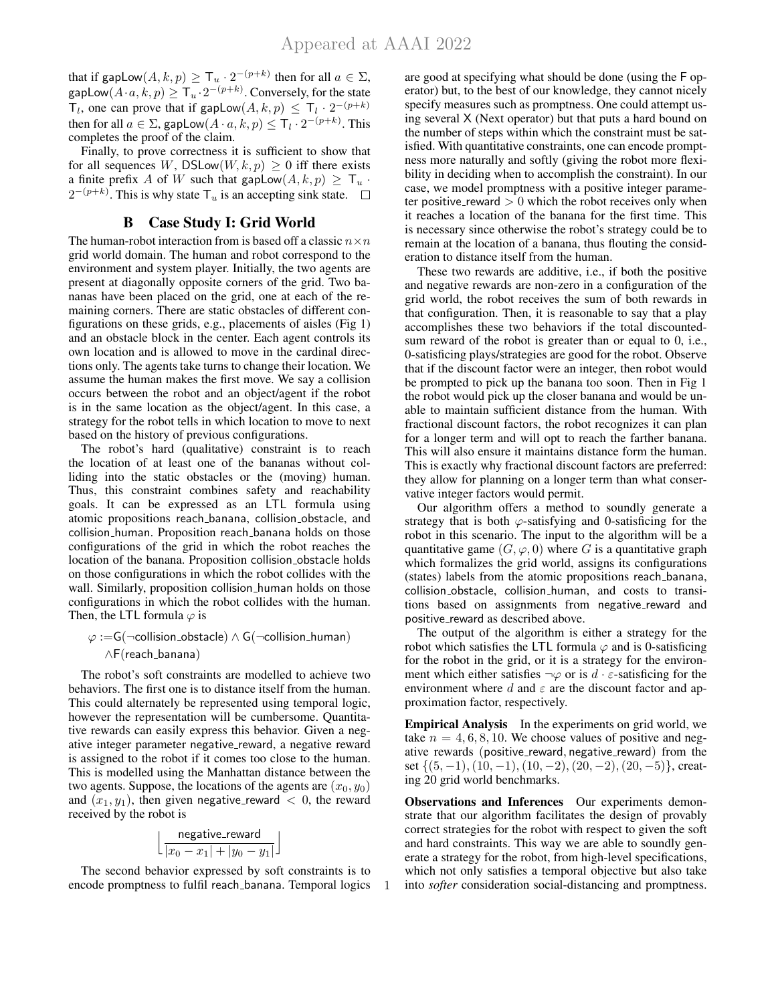that if gapLow $(A, k, p) \geq \mathsf{T}_u \cdot 2^{-(p+k)}$  then for all  $a \in \Sigma$ , gapLow $(A \cdot a, k, p) \geq \mathsf{T}_u \cdot 2^{-(p+k)}$ . Conversely, for the state  $\mathsf{T}_l$ , one can prove that if gapLow $(A, k, p) \leq \mathsf{T}_l \cdot 2^{-(p+k)}$ then for all  $a \in \Sigma$ , gapLow $(A \cdot a, k, p) \leq \mathsf{T}_l \cdot 2^{-(p+k)}$ . This completes the proof of the claim.

Finally, to prove correctness it is sufficient to show that for all sequences W, DSLow $(W, k, p) \geq 0$  iff there exists a finite prefix A of W such that gapLow $(A, k, p) \geq T_u$ .  $2^{-(p+k)}$ . This is why state  $\mathsf{T}_u$  is an accepting sink state.

## B Case Study I: Grid World

The human-robot interaction from is based off a classic  $n \times n$ grid world domain. The human and robot correspond to the environment and system player. Initially, the two agents are present at diagonally opposite corners of the grid. Two bananas have been placed on the grid, one at each of the remaining corners. There are static obstacles of different configurations on these grids, e.g., placements of aisles (Fig 1) and an obstacle block in the center. Each agent controls its own location and is allowed to move in the cardinal directions only. The agents take turns to change their location. We assume the human makes the first move. We say a collision occurs between the robot and an object/agent if the robot is in the same location as the object/agent. In this case, a strategy for the robot tells in which location to move to next based on the history of previous configurations.

The robot's hard (qualitative) constraint is to reach the location of at least one of the bananas without colliding into the static obstacles or the (moving) human. Thus, this constraint combines safety and reachability goals. It can be expressed as an LTL formula using atomic propositions reach banana, collision obstacle, and collision human. Proposition reach banana holds on those configurations of the grid in which the robot reaches the location of the banana. Proposition collision obstacle holds on those configurations in which the robot collides with the wall. Similarly, proposition collision human holds on those configurations in which the robot collides with the human. Then, the LTL formula  $\varphi$  is

# $\varphi$  :=G(¬collision\_obstacle) ∧ G(¬collision\_human) ∧F(reach banana)

The robot's soft constraints are modelled to achieve two behaviors. The first one is to distance itself from the human. This could alternately be represented using temporal logic, however the representation will be cumbersome. Quantitative rewards can easily express this behavior. Given a negative integer parameter negative reward, a negative reward is assigned to the robot if it comes too close to the human. This is modelled using the Manhattan distance between the two agents. Suppose, the locations of the agents are  $(x_0, y_0)$ and  $(x_1, y_1)$ , then given negative reward  $\langle 0 \rangle$ , the reward received by the robot is

$$
\Bigl\lfloor \frac{\text{negative\_reward}}{|x_0 - x_1| + |y_0 - y_1|} \Bigr\rfloor
$$

The second behavior expressed by soft constraints is to encode promptness to fulfil reach banana. Temporal logics

1

are good at specifying what should be done (using the F operator) but, to the best of our knowledge, they cannot nicely specify measures such as promptness. One could attempt using several X (Next operator) but that puts a hard bound on the number of steps within which the constraint must be satisfied. With quantitative constraints, one can encode promptness more naturally and softly (giving the robot more flexibility in deciding when to accomplish the constraint). In our case, we model promptness with a positive integer parameter positive reward  $> 0$  which the robot receives only when it reaches a location of the banana for the first time. This is necessary since otherwise the robot's strategy could be to remain at the location of a banana, thus flouting the consideration to distance itself from the human.

These two rewards are additive, i.e., if both the positive and negative rewards are non-zero in a configuration of the grid world, the robot receives the sum of both rewards in that configuration. Then, it is reasonable to say that a play accomplishes these two behaviors if the total discountedsum reward of the robot is greater than or equal to 0, i.e., 0-satisficing plays/strategies are good for the robot. Observe that if the discount factor were an integer, then robot would be prompted to pick up the banana too soon. Then in Fig 1 the robot would pick up the closer banana and would be unable to maintain sufficient distance from the human. With fractional discount factors, the robot recognizes it can plan for a longer term and will opt to reach the farther banana. This will also ensure it maintains distance form the human. This is exactly why fractional discount factors are preferred: they allow for planning on a longer term than what conservative integer factors would permit.

Our algorithm offers a method to soundly generate a strategy that is both  $\varphi$ -satisfying and 0-satisficing for the robot in this scenario. The input to the algorithm will be a quantitative game  $(G, \varphi, 0)$  where G is a quantitative graph which formalizes the grid world, assigns its configurations (states) labels from the atomic propositions reach banana, collision obstacle, collision human, and costs to transitions based on assignments from negative reward and positive\_reward as described above.

The output of the algorithm is either a strategy for the robot which satisfies the LTL formula  $\varphi$  and is 0-satisficing for the robot in the grid, or it is a strategy for the environment which either satisfies  $\neg \varphi$  or is  $d \cdot \varepsilon$ -satisficing for the environment where d and  $\varepsilon$  are the discount factor and approximation factor, respectively.

Empirical Analysis In the experiments on grid world, we take  $n = 4, 6, 8, 10$ . We choose values of positive and negative rewards (positive\_reward, negative\_reward) from the set  $\{(5, -1), (10, -1), (10, -2), (20, -2), (20, -5)\}$ , creating 20 grid world benchmarks.

Observations and Inferences Our experiments demonstrate that our algorithm facilitates the design of provably correct strategies for the robot with respect to given the soft and hard constraints. This way we are able to soundly generate a strategy for the robot, from high-level specifications, which not only satisfies a temporal objective but also take into *softer* consideration social-distancing and promptness.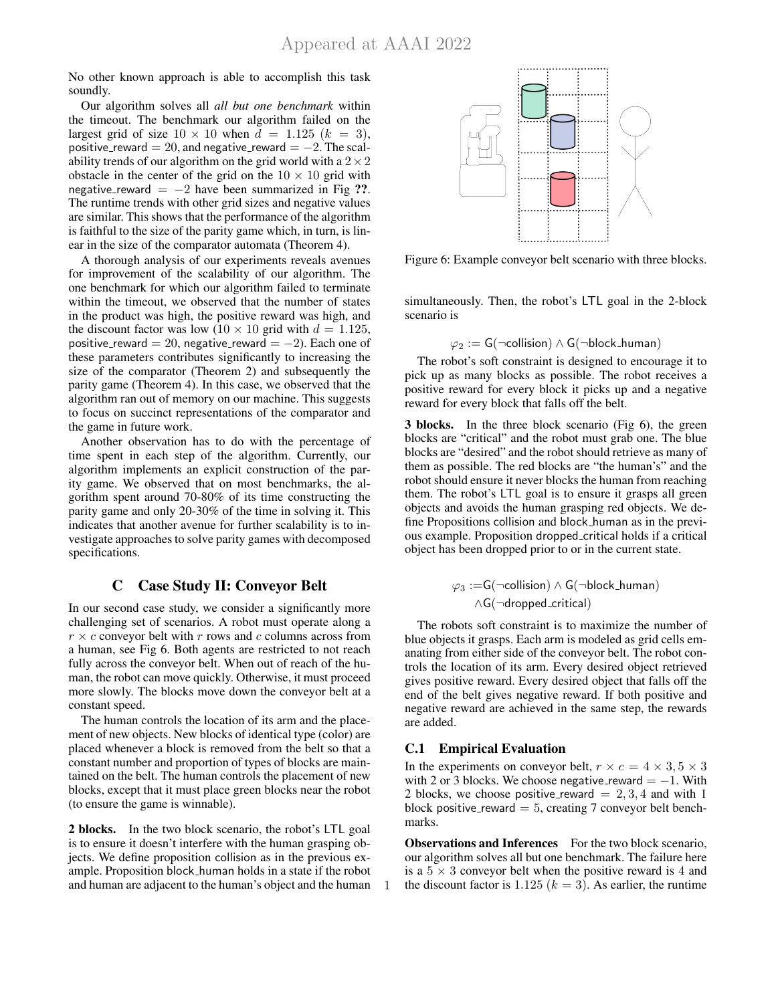No other known approach is able to accomplish this task soundly.

Our algorithm solves all *all but one benchmark* within the timeout. The benchmark our algorithm failed on the largest grid of size  $10 \times 10$  when  $d = 1.125$   $(k = 3)$ , positive\_reward = 20, and negative\_reward =  $-2$ . The scalability trends of our algorithm on the grid world with a  $2 \times 2$ obstacle in the center of the grid on the  $10 \times 10$  grid with negative\_reward =  $-2$  have been summarized in Fig ??. The runtime trends with other grid sizes and negative values are similar. This shows that the performance of the algorithm is faithful to the size of the parity game which, in turn, is linear in the size of the comparator automata (Theorem 4).

A thorough analysis of our experiments reveals avenues for improvement of the scalability of our algorithm. The one benchmark for which our algorithm failed to terminate within the timeout, we observed that the number of states in the product was high, the positive reward was high, and the discount factor was low (10  $\times$  10 grid with  $d = 1.125$ , positive\_reward = 20, negative\_reward =  $-2$ ). Each one of these parameters contributes significantly to increasing the size of the comparator (Theorem 2) and subsequently the parity game (Theorem 4). In this case, we observed that the algorithm ran out of memory on our machine. This suggests to focus on succinct representations of the comparator and the game in future work.

Another observation has to do with the percentage of time spent in each step of the algorithm. Currently, our algorithm implements an explicit construction of the parity game. We observed that on most benchmarks, the algorithm spent around 70-80% of its time constructing the parity game and only 20-30% of the time in solving it. This indicates that another avenue for further scalability is to investigate approaches to solve parity games with decomposed specifications.

## C Case Study II: Conveyor Belt

In our second case study, we consider a significantly more challenging set of scenarios. A robot must operate along a  $r \times c$  conveyor belt with r rows and c columns across from a human, see Fig 6. Both agents are restricted to not reach fully across the conveyor belt. When out of reach of the human, the robot can move quickly. Otherwise, it must proceed more slowly. The blocks move down the conveyor belt at a constant speed.

The human controls the location of its arm and the placement of new objects. New blocks of identical type (color) are placed whenever a block is removed from the belt so that a constant number and proportion of types of blocks are maintained on the belt. The human controls the placement of new blocks, except that it must place green blocks near the robot (to ensure the game is winnable).

2 blocks. In the two block scenario, the robot's LTL goal is to ensure it doesn't interfere with the human grasping objects. We define proposition collision as in the previous example. Proposition block human holds in a state if the robot and human are adjacent to the human's object and the human



Figure 6: Example conveyor belt scenario with three blocks.

simultaneously. Then, the robot's LTL goal in the 2-block scenario is

$$
\varphi_2 := \mathsf{G}(\neg \mathsf{collision}) \land \mathsf{G}(\neg \mathsf{block}\_\mathsf{human})
$$

The robot's soft constraint is designed to encourage it to pick up as many blocks as possible. The robot receives a positive reward for every block it picks up and a negative reward for every block that falls off the belt.

3 blocks. In the three block scenario (Fig 6), the green blocks are "critical" and the robot must grab one. The blue blocks are "desired" and the robot should retrieve as many of them as possible. The red blocks are "the human's" and the robot should ensure it never blocks the human from reaching them. The robot's LTL goal is to ensure it grasps all green objects and avoids the human grasping red objects. We define Propositions collision and block human as in the previous example. Proposition dropped critical holds if a critical object has been dropped prior to or in the current state.

$$
\varphi_3 := G(\neg collision) \land G(\neg block\_\_\namename{human})
$$
  

$$
\land G(\neg dropped\_\text{critical})
$$

The robots soft constraint is to maximize the number of blue objects it grasps. Each arm is modeled as grid cells emanating from either side of the conveyor belt. The robot controls the location of its arm. Every desired object retrieved gives positive reward. Every desired object that falls off the end of the belt gives negative reward. If both positive and negative reward are achieved in the same step, the rewards are added.

### C.1 Empirical Evaluation

1

In the experiments on conveyor belt,  $r \times c = 4 \times 3, 5 \times 3$ with 2 or 3 blocks. We choose negative\_reward  $= -1$ . With 2 blocks, we choose positive reward  $= 2, 3, 4$  and with 1 block positive reward  $= 5$ , creating 7 conveyor belt benchmarks.

Observations and Inferences For the two block scenario, our algorithm solves all but one benchmark. The failure here is a  $5 \times 3$  conveyor belt when the positive reward is 4 and the discount factor is 1.125 ( $k = 3$ ). As earlier, the runtime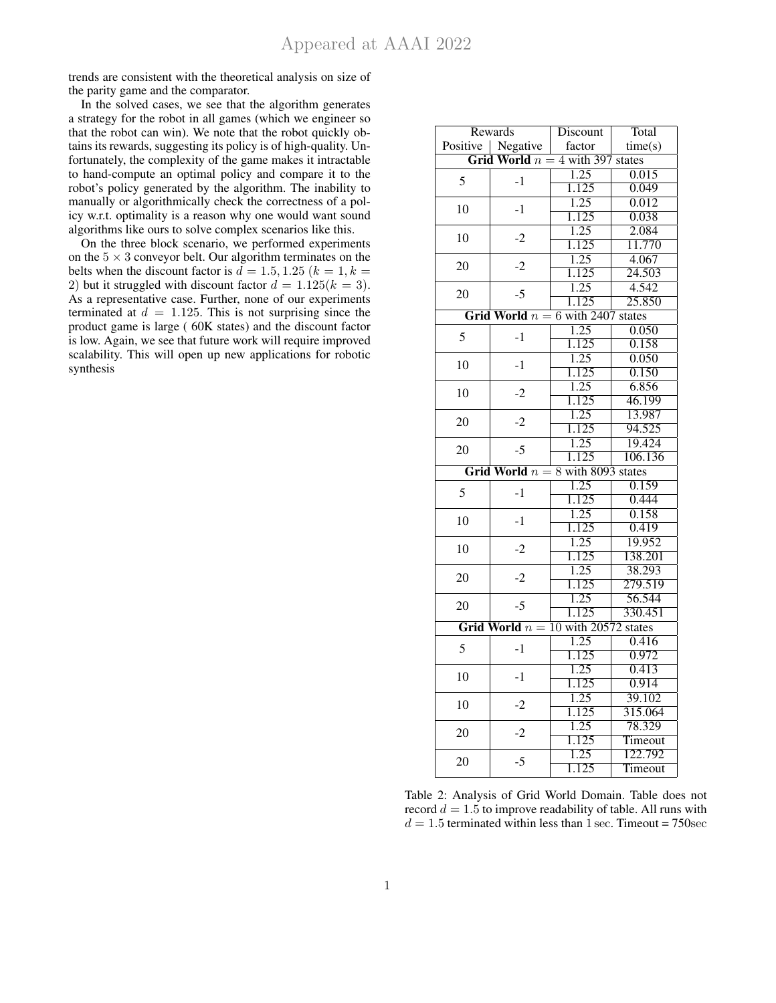trends are consistent with the theoretical analysis on size of the parity game and the comparator.

In the solved cases, we see that the algorithm generates a strategy for the robot in all games (which we engineer so that the robot can win). We note that the robot quickly obtains its rewards, suggesting its policy is of high-quality. Unfortunately, the complexity of the game makes it intractable to hand-compute an optimal policy and compare it to the robot's policy generated by the algorithm. The inability to manually or algorithmically check the correctness of a policy w.r.t. optimality is a reason why one would want sound algorithms like ours to solve complex scenarios like this.

On the three block scenario, we performed experiments on the  $5 \times 3$  conveyor belt. Our algorithm terminates on the belts when the discount factor is  $d = 1.5, 1.25$  ( $k = 1, k = 1$ ) 2) but it struggled with discount factor  $d = 1.125(k = 3)$ . As a representative case. Further, none of our experiments terminated at  $d = 1.125$ . This is not surprising since the product game is large ( 60K states) and the discount factor is low. Again, we see that future work will require improved scalability. This will open up new applications for robotic synthesis

| Rewards |                     | Discount                              | Total               |
|---------|---------------------|---------------------------------------|---------------------|
|         | Positive   Negative | factor                                | time(s)             |
|         |                     | Grid World $n = 4$ with 397 states    |                     |
|         |                     | 1.25                                  | 0.015               |
| 5       | $-1$                | 1.125                                 | 0.049               |
|         |                     | $\overline{1.25}$                     | 0.012               |
| 10      | $-1$                | 1.125                                 | 0.038               |
|         | $-2$                | $\overline{1.25}$                     | 2.084               |
| 10      |                     | 1.125                                 | 11.770              |
|         | $-2$                | 1.25                                  | 4.067               |
| 20      |                     | 1.125                                 | 24.503              |
|         |                     | 1.25                                  | 4.542               |
| 20      | $-5$                | 1.125                                 | 25.850              |
|         |                     | Grid World $n = 6$ with 2407 states   |                     |
|         |                     | $\overline{1.25}$                     | 0.050               |
| 5       | $-1$                | 1.125                                 | 0.158               |
|         |                     | 1.25                                  | 0.050               |
| 10      | $-1$                | $\overline{1.125}$                    | 0.150               |
|         |                     | $\overline{1.25}$                     | 6.856               |
| 10      | $-2$                | 1.125                                 | 46.199              |
|         |                     | 1.25                                  | 13.987              |
| 20      | $-2$                | 1.125                                 | 94.525              |
|         |                     | 1.25                                  | 19.424              |
| 20      | $-5$                |                                       | 106.136             |
|         |                     | 1.125                                 |                     |
|         |                     | Grid World $n = 8$ with 8093 states   |                     |
| 5       | $-1$                | 1.25                                  | 0.159               |
|         |                     | 1.125                                 | 0.444               |
| 10      | $-1$                | 1.25                                  | 0.158               |
|         |                     | 1.125                                 | 0.419               |
| 10      | $-2$                | 1.25                                  | 19.952              |
|         |                     | 1.125                                 | 138.201             |
| 20      | $-2$                | 1.25                                  | 38.293              |
|         |                     | 1.125                                 | 279.519             |
| 20      | $-5$                | 1.25                                  | $\overline{56.544}$ |
|         |                     | 1.125                                 | 330.451             |
|         |                     | Grid World $n = 10$ with 20572 states |                     |
| 5       | $-1$                | $\overline{1.25}$                     | 0.416               |
|         |                     | 1.125                                 | 0.972               |
| 10      | $-1$                | 1.25                                  | 0.413               |
|         |                     | 1.125                                 | 0.914               |
| 10      | $-2$                | 1.25                                  | 39.102              |
|         |                     | 1.125                                 | 315.064             |
| 20      | $-2$                | $\overline{1.25}$                     | 78.329              |
|         |                     | 1.125                                 | Timeout             |
| 20      | $-5$                | 1.25                                  | 122.792             |
|         |                     | 1.125                                 | Timeout             |

Table 2: Analysis of Grid World Domain. Table does not record  $d = 1.5$  to improve readability of table. All runs with  $d = 1.5$  terminated within less than 1 sec. Timeout = 750sec